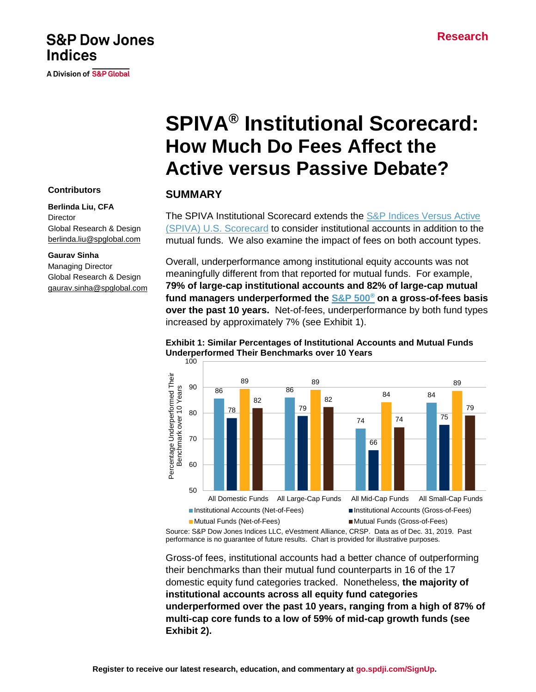# **Research**

# **SPIVA® Institutional Scorecard: How Much Do Fees Affect the Active versus Passive Debate?**

# **SUMMARY**

The SPIVA Institutional Scorecard extends the S&P Indices Versus Active [\(SPIVA\) U.S. Scorecard](https://www.spglobal.com/spdji/en/spiva/article/spiva-us/) to consider institutional accounts in addition to the mutual funds. We also examine the impact of fees on both account types.

Overall, underperformance among institutional equity accounts was not meaningfully different from that reported for mutual funds. For example, **79% of large-cap institutional accounts and 82% of large-cap mutual fund managers underperformed the [S&P 500](https://www.spglobal.com/spdji/en/indices/equity/sp-500/#overview)® on a gross-of-fees basis over the past 10 years.** Net-of-fees, underperformance by both fund types increased by approximately 7% (see Exhibit 1).

**Exhibit 1: Similar Percentages of Institutional Accounts and Mutual Funds Underperformed Their Benchmarks over 10 Years** 100



Source: S&P Dow Jones Indices LLC, eVestment Alliance, CRSP. Data as of Dec. 31, 2019. Past performance is no guarantee of future results. Chart is provided for illustrative purposes.

Gross-of fees, institutional accounts had a better chance of outperforming their benchmarks than their mutual fund counterparts in 16 of the 17 domestic equity fund categories tracked. Nonetheless, **the majority of institutional accounts across all equity fund categories underperformed over the past 10 years, ranging from a high of 87% of multi-cap core funds to a low of 59% of mid-cap growth funds (see Exhibit 2).**

#### **Contributors**

**Indices** 

#### **Berlinda Liu, CFA Director**

Global Research & Design [berlinda.liu@spglobal.com](mailto:berlinda.liu@spglobal.com)

**S&P Dow Jones** 

A Division of S&P Global

#### **Gaurav Sinha**

Managing Director Global Research & Design [gaurav.sinha@spglobal.com](mailto:gaurav.sinha@spglobal.com)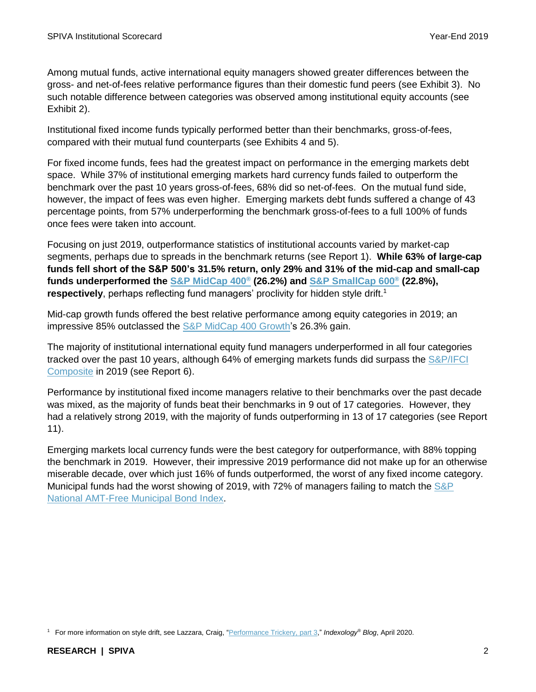Among mutual funds, active international equity managers showed greater differences between the gross- and net-of-fees relative performance figures than their domestic fund peers (see Exhibit 3). No such notable difference between categories was observed among institutional equity accounts (see Exhibit 2).

Institutional fixed income funds typically performed better than their benchmarks, gross-of-fees, compared with their mutual fund counterparts (see Exhibits 4 and 5).

For fixed income funds, fees had the greatest impact on performance in the emerging markets debt space. While 37% of institutional emerging markets hard currency funds failed to outperform the benchmark over the past 10 years gross-of-fees, 68% did so net-of-fees. On the mutual fund side, however, the impact of fees was even higher. Emerging markets debt funds suffered a change of 43 percentage points, from 57% underperforming the benchmark gross-of-fees to a full 100% of funds once fees were taken into account.

Focusing on just 2019, outperformance statistics of institutional accounts varied by market-cap segments, perhaps due to spreads in the benchmark returns (see Report 1). **While 63% of large-cap funds fell short of the S&P 500's 31.5% return, only 29% and 31% of the mid-cap and small-cap funds underperformed the [S&P MidCap 400](https://www.spglobal.com/spdji/en/indices/equity/sp-400/#overview)® (26.2%) and [S&P SmallCap 600](https://www.spglobal.com/spdji/en/indices/equity/sp-600/#overview)® (22.8%),** respectively, perhaps reflecting fund managers' proclivity for hidden style drift.<sup>1</sup>

Mid-cap growth funds offered the best relative performance among equity categories in 2019; an impressive 85% outclassed the [S&P MidCap 400](https://www.spglobal.com/spdji/en/indices/equity/sp-midcap-400-growth/#overviewhttps://spdji.com/indices/equity/sp-midcap-400-growth) Growth's 26.3% gain.

The majority of institutional international equity fund managers underperformed in all four categories tracked over the past 10 years, although 64% of emerging markets funds did surpass the S&P/IFCI [Composite](https://www.spglobal.com/spdji/en/indices/equity/sp-ifci-composite) in 2019 (see Report 6).

Performance by institutional fixed income managers relative to their benchmarks over the past decade was mixed, as the majority of funds beat their benchmarks in 9 out of 17 categories. However, they had a relatively strong 2019, with the majority of funds outperforming in 13 of 17 categories (see Report 11).

Emerging markets local currency funds were the best category for outperformance, with 88% topping the benchmark in 2019. However, their impressive 2019 performance did not make up for an otherwise miserable decade, over which just 16% of funds outperformed, the worst of any fixed income category. Municipal funds had the worst showing of 2019, with 72% of managers failing to match the [S&P](https://www.spglobal.com/spdji/en/indices/fixed-income/sp-national-amt-free-municipal-bond-index)  [National AMT-Free Municipal Bond Index.](https://www.spglobal.com/spdji/en/indices/fixed-income/sp-national-amt-free-municipal-bond-index)

<sup>1</sup> For more information on style drift, see Lazzara, Craig, ["Performance Trickery, part 3,](https://www.indexologyblog.com/2020/04/16/performance-trickery-part-3/)" *Indexology® Blog*, April 2020.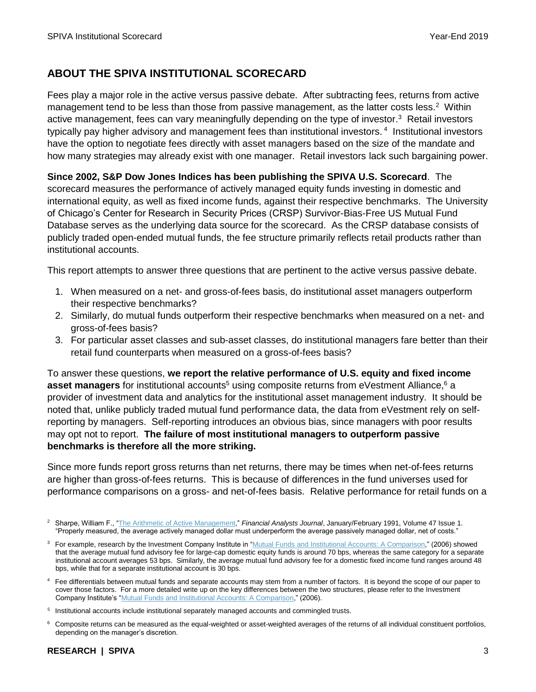# **ABOUT THE SPIVA INSTITUTIONAL SCORECARD**

Fees play a major role in the active versus passive debate. After subtracting fees, returns from active management tend to be less than those from passive management, as the latter costs less.<sup>2</sup> Within active management, fees can vary meaningfully depending on the type of investor.<sup>3</sup> Retail investors typically pay higher advisory and management fees than institutional investors.<sup>4</sup> Institutional investors have the option to negotiate fees directly with asset managers based on the size of the mandate and how many strategies may already exist with one manager. Retail investors lack such bargaining power.

**Since 2002, S&P Dow Jones Indices has been publishing the SPIVA U.S. Scorecard**. The scorecard measures the performance of actively managed equity funds investing in domestic and international equity, as well as fixed income funds, against their respective benchmarks. The University of Chicago's Center for Research in Security Prices (CRSP) Survivor-Bias-Free US Mutual Fund Database serves as the underlying data source for the scorecard. As the CRSP database consists of publicly traded open-ended mutual funds, the fee structure primarily reflects retail products rather than institutional accounts.

This report attempts to answer three questions that are pertinent to the active versus passive debate.

- 1. When measured on a net- and gross-of-fees basis, do institutional asset managers outperform their respective benchmarks?
- 2. Similarly, do mutual funds outperform their respective benchmarks when measured on a net- and gross-of-fees basis?
- 3. For particular asset classes and sub-asset classes, do institutional managers fare better than their retail fund counterparts when measured on a gross-of-fees basis?

To answer these questions, **we report the relative performance of U.S. equity and fixed income asset managers** for institutional accounts<sup>5</sup> using composite returns from eVestment Alliance,<sup>6</sup> a provider of investment data and analytics for the institutional asset management industry. It should be noted that, unlike publicly traded mutual fund performance data, the data from eVestment rely on selfreporting by managers. Self-reporting introduces an obvious bias, since managers with poor results may opt not to report. **The failure of most institutional managers to outperform passive benchmarks is therefore all the more striking.**

Since more funds report gross returns than net returns, there may be times when net-of-fees returns are higher than gross-of-fees returns. This is because of differences in the fund universes used for performance comparisons on a gross- and net-of-fees basis. Relative performance for retail funds on a

<sup>6</sup> Composite returns can be measured as the equal-weighted or asset-weighted averages of the returns of all individual constituent portfolios, depending on the manager's discretion.

<sup>&</sup>lt;sup>2</sup> Sharpe, William F., ["The Arithmetic of Active Management,](https://www.cfapubs.org/doi/abs/10.2469/faj.v47.n1.7)" Financial Analysts Journal, January/February 1991, Volume 47 Issue 1. "Properly measured, the average actively managed dollar must underperform the average passively managed dollar, net of costs."

<sup>&</sup>lt;sup>3</sup> For example, research by the Investment Company Institute in ["Mutual Funds and Institutional Accounts: A Comparison,"](https://www.ici.org/pdf/ppr_06_mf_inst_comparison.pdf) (2006) showed that the average mutual fund advisory fee for large-cap domestic equity funds is around 70 bps, whereas the same category for a separate institutional account averages 53 bps. Similarly, the average mutual fund advisory fee for a domestic fixed income fund ranges around 48 bps, while that for a separate institutional account is 30 bps.

<sup>&</sup>lt;sup>4</sup> Fee differentials between mutual funds and separate accounts may stem from a number of factors. It is beyond the scope of our paper to cover those factors. For a more detailed write up on the key differences between the two structures, please refer to the Investment Company Institute's ["Mutual Funds and Institutional Accounts: A Comparison,"](https://www.ici.org/pdf/ppr_06_mf_inst_comparison.pdf) (2006).

<sup>&</sup>lt;sup>5</sup> Institutional accounts include institutional separately managed accounts and commingled trusts.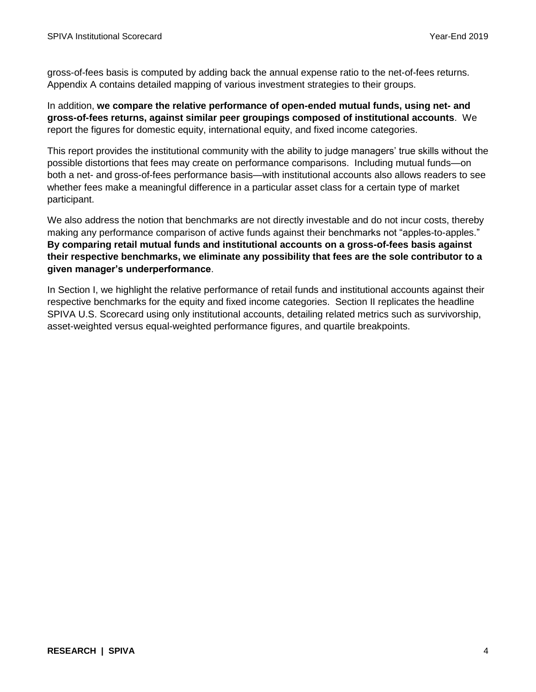gross-of-fees basis is computed by adding back the annual expense ratio to the net-of-fees returns. Appendix A contains detailed mapping of various investment strategies to their groups.

In addition, **we compare the relative performance of open-ended mutual funds, using net- and gross-of-fees returns, against similar peer groupings composed of institutional accounts**. We report the figures for domestic equity, international equity, and fixed income categories.

This report provides the institutional community with the ability to judge managers' true skills without the possible distortions that fees may create on performance comparisons. Including mutual funds—on both a net- and gross-of-fees performance basis—with institutional accounts also allows readers to see whether fees make a meaningful difference in a particular asset class for a certain type of market participant.

We also address the notion that benchmarks are not directly investable and do not incur costs, thereby making any performance comparison of active funds against their benchmarks not "apples-to-apples." **By comparing retail mutual funds and institutional accounts on a gross-of-fees basis against their respective benchmarks, we eliminate any possibility that fees are the sole contributor to a given manager's underperformance**.

In Section I, we highlight the relative performance of retail funds and institutional accounts against their respective benchmarks for the equity and fixed income categories. Section II replicates the headline SPIVA U.S. Scorecard using only institutional accounts, detailing related metrics such as survivorship, asset-weighted versus equal-weighted performance figures, and quartile breakpoints.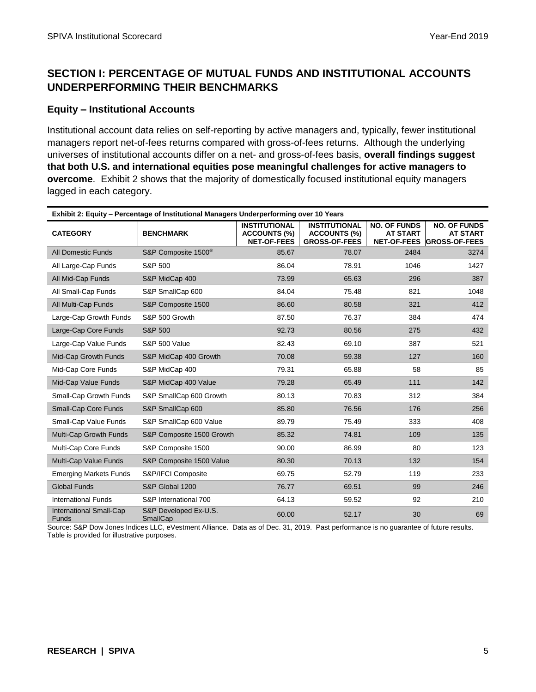# **SECTION I: PERCENTAGE OF MUTUAL FUNDS AND INSTITUTIONAL ACCOUNTS UNDERPERFORMING THEIR BENCHMARKS**

#### **Equity – Institutional Accounts**

Institutional account data relies on self-reporting by active managers and, typically, fewer institutional managers report net-of-fees returns compared with gross-of-fees returns. Although the underlying universes of institutional accounts differ on a net- and gross-of-fees basis, **overall findings suggest that both U.S. and international equities pose meaningful challenges for active managers to overcome**. Exhibit 2 shows that the majority of domestically focused institutional equity managers lagged in each category.

| Exhibit 2: Equity – Percentage of Institutional Managers Underperforming over 10 Years |                                   |                                                                   |                                                                     |                                        |                                                                     |  |
|----------------------------------------------------------------------------------------|-----------------------------------|-------------------------------------------------------------------|---------------------------------------------------------------------|----------------------------------------|---------------------------------------------------------------------|--|
| <b>CATEGORY</b>                                                                        | <b>BENCHMARK</b>                  | <b>INSTITUTIONAL</b><br><b>ACCOUNTS (%)</b><br><b>NET-OF-FEES</b> | <b>INSTITUTIONAL</b><br><b>ACCOUNTS (%)</b><br><b>GROSS-OF-FEES</b> | <b>NO. OF FUNDS</b><br><b>AT START</b> | <b>NO. OF FUNDS</b><br><b>AT START</b><br>NET-OF-FEES GROSS-OF-FEES |  |
| <b>All Domestic Funds</b>                                                              | S&P Composite 1500 <sup>®</sup>   | 85.67                                                             | 78.07                                                               | 2484                                   | 3274                                                                |  |
| All Large-Cap Funds                                                                    | S&P 500                           | 86.04                                                             | 78.91                                                               | 1046                                   | 1427                                                                |  |
| All Mid-Cap Funds                                                                      | S&P MidCap 400                    | 73.99                                                             | 65.63                                                               | 296                                    | 387                                                                 |  |
| All Small-Cap Funds                                                                    | S&P SmallCap 600                  | 84.04                                                             | 75.48                                                               | 821                                    | 1048                                                                |  |
| All Multi-Cap Funds                                                                    | S&P Composite 1500                | 86.60                                                             | 80.58                                                               | 321                                    | 412                                                                 |  |
| Large-Cap Growth Funds                                                                 | S&P 500 Growth                    | 87.50                                                             | 76.37                                                               | 384                                    | 474                                                                 |  |
| Large-Cap Core Funds                                                                   | <b>S&amp;P 500</b>                | 92.73                                                             | 80.56                                                               | 275                                    | 432                                                                 |  |
| Large-Cap Value Funds                                                                  | <b>S&amp;P 500 Value</b>          | 82.43                                                             | 69.10                                                               | 387                                    | 521                                                                 |  |
| Mid-Cap Growth Funds                                                                   | S&P MidCap 400 Growth             | 70.08                                                             | 59.38                                                               | 127                                    | 160                                                                 |  |
| Mid-Cap Core Funds                                                                     | S&P MidCap 400                    | 79.31                                                             | 65.88                                                               | 58                                     | 85                                                                  |  |
| Mid-Cap Value Funds                                                                    | S&P MidCap 400 Value              | 79.28                                                             | 65.49                                                               | 111                                    | 142                                                                 |  |
| Small-Cap Growth Funds                                                                 | S&P SmallCap 600 Growth           | 80.13                                                             | 70.83                                                               | 312                                    | 384                                                                 |  |
| Small-Cap Core Funds                                                                   | S&P SmallCap 600                  | 85.80                                                             | 76.56                                                               | 176                                    | 256                                                                 |  |
| Small-Cap Value Funds                                                                  | S&P SmallCap 600 Value            | 89.79                                                             | 75.49                                                               | 333                                    | 408                                                                 |  |
| Multi-Cap Growth Funds                                                                 | S&P Composite 1500 Growth         | 85.32                                                             | 74.81                                                               | 109                                    | 135                                                                 |  |
| Multi-Cap Core Funds                                                                   | S&P Composite 1500                | 90.00                                                             | 86.99                                                               | 80                                     | 123                                                                 |  |
| Multi-Cap Value Funds                                                                  | S&P Composite 1500 Value          | 80.30                                                             | 70.13                                                               | 132                                    | 154                                                                 |  |
| <b>Emerging Markets Funds</b>                                                          | S&P/IFCI Composite                | 69.75                                                             | 52.79                                                               | 119                                    | 233                                                                 |  |
| <b>Global Funds</b>                                                                    | S&P Global 1200                   | 76.77                                                             | 69.51                                                               | 99                                     | 246                                                                 |  |
| <b>International Funds</b>                                                             | S&P International 700             | 64.13                                                             | 59.52                                                               | 92                                     | 210                                                                 |  |
| <b>International Small-Cap</b><br><b>Funds</b>                                         | S&P Developed Ex-U.S.<br>SmallCap | 60.00                                                             | 52.17                                                               | 30                                     | 69                                                                  |  |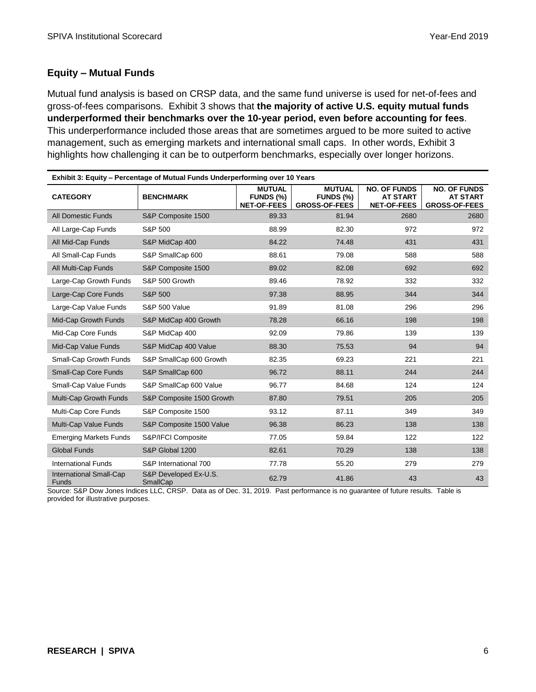## **Equity – Mutual Funds**

Mutual fund analysis is based on CRSP data, and the same fund universe is used for net-of-fees and gross-of-fees comparisons. Exhibit 3 shows that **the majority of active U.S. equity mutual funds underperformed their benchmarks over the 10-year period, even before accounting for fees**. This underperformance included those areas that are sometimes argued to be more suited to active management, such as emerging markets and international small caps. In other words, Exhibit 3 highlights how challenging it can be to outperform benchmarks, especially over longer horizons.

| Exhibit 3: Equity - Percentage of Mutual Funds Underperforming over 10 Years |                                   |                                                  |                                                    |                                                              |                                                                |  |
|------------------------------------------------------------------------------|-----------------------------------|--------------------------------------------------|----------------------------------------------------|--------------------------------------------------------------|----------------------------------------------------------------|--|
| <b>CATEGORY</b>                                                              | <b>BENCHMARK</b>                  | <b>MUTUAL</b><br>FUNDS (%)<br><b>NET-OF-FEES</b> | <b>MUTUAL</b><br>FUNDS (%)<br><b>GROSS-OF-FEES</b> | <b>NO. OF FUNDS</b><br><b>AT START</b><br><b>NET-OF-FEES</b> | <b>NO. OF FUNDS</b><br><b>AT START</b><br><b>GROSS-OF-FEES</b> |  |
| <b>All Domestic Funds</b>                                                    | S&P Composite 1500                | 89.33                                            | 81.94                                              | 2680                                                         | 2680                                                           |  |
| All Large-Cap Funds                                                          | S&P 500                           | 88.99                                            | 82.30                                              | 972                                                          | 972                                                            |  |
| All Mid-Cap Funds                                                            | S&P MidCap 400                    | 84.22                                            | 74.48                                              | 431                                                          | 431                                                            |  |
| All Small-Cap Funds                                                          | S&P SmallCap 600                  | 88.61                                            | 79.08                                              | 588                                                          | 588                                                            |  |
| All Multi-Cap Funds                                                          | S&P Composite 1500                | 89.02                                            | 82.08                                              | 692                                                          | 692                                                            |  |
| Large-Cap Growth Funds                                                       | S&P 500 Growth                    | 89.46                                            | 78.92                                              | 332                                                          | 332                                                            |  |
| Large-Cap Core Funds                                                         | S&P 500                           | 97.38                                            | 88.95                                              | 344                                                          | 344                                                            |  |
| Large-Cap Value Funds                                                        | <b>S&amp;P 500 Value</b>          | 91.89                                            | 81.08                                              | 296                                                          | 296                                                            |  |
| Mid-Cap Growth Funds                                                         | S&P MidCap 400 Growth             | 78.28                                            | 66.16                                              | 198                                                          | 198                                                            |  |
| Mid-Cap Core Funds                                                           | S&P MidCap 400                    | 92.09                                            | 79.86                                              | 139                                                          | 139                                                            |  |
| Mid-Cap Value Funds                                                          | S&P MidCap 400 Value              | 88.30                                            | 75.53                                              | 94                                                           | 94                                                             |  |
| Small-Cap Growth Funds                                                       | S&P SmallCap 600 Growth           | 82.35                                            | 69.23                                              | 221                                                          | 221                                                            |  |
| Small-Cap Core Funds                                                         | S&P SmallCap 600                  | 96.72                                            | 88.11                                              | 244                                                          | 244                                                            |  |
| Small-Cap Value Funds                                                        | S&P SmallCap 600 Value            | 96.77                                            | 84.68                                              | 124                                                          | 124                                                            |  |
| Multi-Cap Growth Funds                                                       | S&P Composite 1500 Growth         | 87.80                                            | 79.51                                              | 205                                                          | 205                                                            |  |
| Multi-Cap Core Funds                                                         | S&P Composite 1500                | 93.12                                            | 87.11                                              | 349                                                          | 349                                                            |  |
| Multi-Cap Value Funds                                                        | S&P Composite 1500 Value          | 96.38                                            | 86.23                                              | 138                                                          | 138                                                            |  |
| <b>Emerging Markets Funds</b>                                                | S&P/IFCI Composite                | 77.05                                            | 59.84                                              | 122                                                          | 122                                                            |  |
| <b>Global Funds</b>                                                          | S&P Global 1200                   | 82.61                                            | 70.29                                              | 138                                                          | 138                                                            |  |
| <b>International Funds</b>                                                   | S&P International 700             | 77.78                                            | 55.20                                              | 279                                                          | 279                                                            |  |
| <b>International Small-Cap</b><br><b>Funds</b>                               | S&P Developed Ex-U.S.<br>SmallCap | 62.79                                            | 41.86                                              | 43                                                           | 43                                                             |  |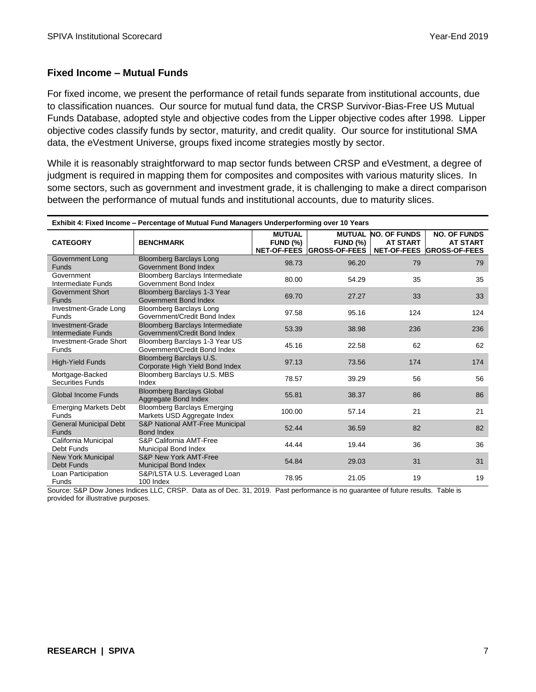## **Fixed Income – Mutual Funds**

For fixed income, we present the performance of retail funds separate from institutional accounts, due to classification nuances. Our source for mutual fund data, the CRSP Survivor-Bias-Free US Mutual Funds Database, adopted style and objective codes from the Lipper objective codes after 1998. Lipper objective codes classify funds by sector, maturity, and credit quality. Our source for institutional SMA data, the eVestment Universe, groups fixed income strategies mostly by sector.

While it is reasonably straightforward to map sector funds between CRSP and eVestment, a degree of judgment is required in mapping them for composites and composites with various maturity slices. In some sectors, such as government and investment grade, it is challenging to make a direct comparison between the performance of mutual funds and institutional accounts, due to maturity slices.

| Exhibit 4: Fixed Income - Percentage of Mutual Fund Managers Underperforming over 10 Years |                                                                        |                                  |                                                               |                                        |                                                                     |
|--------------------------------------------------------------------------------------------|------------------------------------------------------------------------|----------------------------------|---------------------------------------------------------------|----------------------------------------|---------------------------------------------------------------------|
| <b>CATEGORY</b>                                                                            | <b>BENCHMARK</b>                                                       | <b>MUTUAL</b><br><b>FUND (%)</b> | <b>MUTUAL</b><br><b>FUND (%)</b><br>NET-OF-FEES GROSS-OF-FEES | <b>NO. OF FUNDS</b><br><b>AT START</b> | <b>NO. OF FUNDS</b><br><b>AT START</b><br>NET-OF-FEES GROSS-OF-FEES |
| Government Long<br><b>Funds</b>                                                            | <b>Bloomberg Barclays Long</b><br>Government Bond Index                | 98.73                            | 96.20                                                         | 79                                     | 79                                                                  |
| Government<br>Intermediate Funds                                                           | Bloomberg Barclays Intermediate<br>Government Bond Index               | 80.00                            | 54.29                                                         | 35                                     | 35                                                                  |
| <b>Government Short</b><br><b>Funds</b>                                                    | Bloomberg Barclays 1-3 Year<br>Government Bond Index                   | 69.70                            | 27.27                                                         | 33                                     | 33                                                                  |
| Investment-Grade Long<br>Funds                                                             | <b>Bloomberg Barclays Long</b><br>Government/Credit Bond Index         | 97.58                            | 95.16                                                         | 124                                    | 124                                                                 |
| Investment-Grade<br>Intermediate Funds                                                     | <b>Bloomberg Barclays Intermediate</b><br>Government/Credit Bond Index | 53.39                            | 38.98                                                         | 236                                    | 236                                                                 |
| Investment-Grade Short<br><b>Funds</b>                                                     | Bloomberg Barclays 1-3 Year US<br>Government/Credit Bond Index         | 45.16                            | 22.58                                                         | 62                                     | 62                                                                  |
| High-Yield Funds                                                                           | Bloomberg Barclays U.S.<br>Corporate High Yield Bond Index             | 97.13                            | 73.56                                                         | 174                                    | 174                                                                 |
| Mortgage-Backed<br><b>Securities Funds</b>                                                 | Bloomberg Barclays U.S. MBS<br>Index                                   | 78.57                            | 39.29                                                         | 56                                     | 56                                                                  |
| Global Income Funds                                                                        | <b>Bloomberg Barclays Global</b><br>Aggregate Bond Index               | 55.81                            | 38.37                                                         | 86                                     | 86                                                                  |
| <b>Emerging Markets Debt</b><br><b>Funds</b>                                               | <b>Bloomberg Barclays Emerging</b><br>Markets USD Aggregate Index      | 100.00                           | 57.14                                                         | 21                                     | 21                                                                  |
| General Municipal Debt<br><b>Funds</b>                                                     | <b>S&amp;P National AMT-Free Municipal</b><br><b>Bond Index</b>        | 52.44                            | 36.59                                                         | 82                                     | 82                                                                  |
| California Municipal<br>Debt Funds                                                         | S&P California AMT-Free<br>Municipal Bond Index                        | 44.44                            | 19.44                                                         | 36                                     | 36                                                                  |
| <b>New York Municipal</b><br>Debt Funds                                                    | S&P New York AMT-Free<br><b>Municipal Bond Index</b>                   | 54.84                            | 29.03                                                         | 31                                     | 31                                                                  |
| Loan Participation<br>Funds                                                                | S&P/LSTA U.S. Leveraged Loan<br>100 Index                              | 78.95                            | 21.05                                                         | 19                                     | 19                                                                  |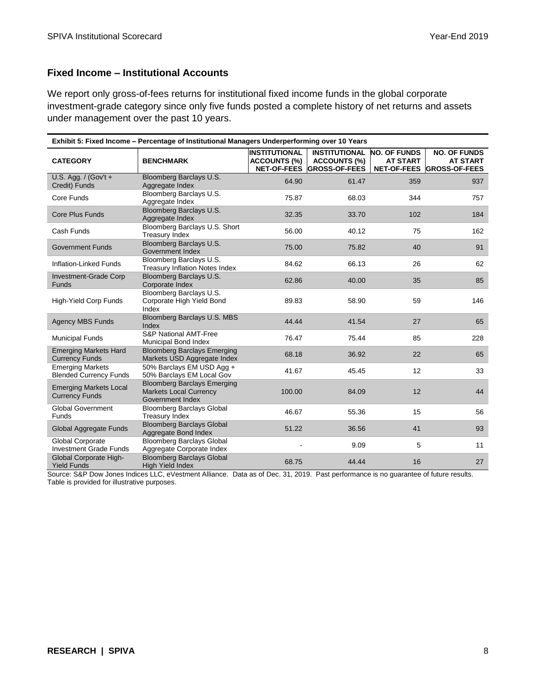#### **Fixed Income – Institutional Accounts**

We report only gross-of-fees returns for institutional fixed income funds in the global corporate investment-grade category since only five funds posted a complete history of net returns and assets under management over the past 10 years.

| Exhibit 5: Fixed Income - Percentage of Institutional Managers Underperforming over 10 Years |                                                                                         |                                             |                                                                          |                                        |                                                                     |
|----------------------------------------------------------------------------------------------|-----------------------------------------------------------------------------------------|---------------------------------------------|--------------------------------------------------------------------------|----------------------------------------|---------------------------------------------------------------------|
| <b>CATEGORY</b>                                                                              | <b>BENCHMARK</b>                                                                        | <b>INSTITUTIONAL</b><br><b>ACCOUNTS (%)</b> | <b>INSTITUTIONAL</b><br><b>ACCOUNTS (%)</b><br>NET-OF-FEES GROSS-OF-FEES | <b>NO. OF FUNDS</b><br><b>AT START</b> | <b>NO. OF FUNDS</b><br><b>AT START</b><br>NET-OF-FEES GROSS-OF-FEES |
| U.S. Agg. / (Gov't +<br>Credit) Funds                                                        | Bloomberg Barclays U.S.<br>Aggregate Index                                              | 64.90                                       | 61.47                                                                    | 359                                    | 937                                                                 |
| Core Funds                                                                                   | Bloomberg Barclays U.S.<br>Aggregate Index                                              | 75.87                                       | 68.03                                                                    | 344                                    | 757                                                                 |
| Core Plus Funds                                                                              | Bloomberg Barclays U.S.<br>Aggregate Index                                              | 32.35                                       | 33.70                                                                    | 102                                    | 184                                                                 |
| Cash Funds                                                                                   | Bloomberg Barclays U.S. Short<br><b>Treasury Index</b>                                  | 56.00                                       | 40.12                                                                    | 75                                     | 162                                                                 |
| <b>Government Funds</b>                                                                      | Bloomberg Barclays U.S.<br>Government Index                                             | 75.00                                       | 75.82                                                                    | 40                                     | 91                                                                  |
| Inflation-Linked Funds                                                                       | Bloomberg Barclays U.S.<br><b>Treasury Inflation Notes Index</b>                        | 84.62                                       | 66.13                                                                    | 26                                     | 62                                                                  |
| Investment-Grade Corp<br><b>Funds</b>                                                        | Bloomberg Barclays U.S.<br>Corporate Index                                              | 62.86                                       | 40.00                                                                    | 35                                     | 85                                                                  |
| <b>High-Yield Corp Funds</b>                                                                 | Bloomberg Barclays U.S.<br>Corporate High Yield Bond<br>Index                           | 89.83                                       | 58.90                                                                    | 59                                     | 146                                                                 |
| <b>Agency MBS Funds</b>                                                                      | Bloomberg Barclays U.S. MBS<br>Index                                                    | 44.44                                       | 41.54                                                                    | 27                                     | 65                                                                  |
| <b>Municipal Funds</b>                                                                       | <b>S&amp;P National AMT-Free</b><br>Municipal Bond Index                                | 76.47                                       | 75.44                                                                    | 85                                     | 228                                                                 |
| <b>Emerging Markets Hard</b><br><b>Currency Funds</b>                                        | <b>Bloomberg Barclays Emerging</b><br>Markets USD Aggregate Index                       | 68.18                                       | 36.92                                                                    | 22                                     | 65                                                                  |
| <b>Emerging Markets</b><br><b>Blended Currency Funds</b>                                     | 50% Barclays EM USD Agg +<br>50% Barclays EM Local Gov                                  | 41.67                                       | 45.45                                                                    | 12                                     | 33                                                                  |
| <b>Emerging Markets Local</b><br><b>Currency Funds</b>                                       | <b>Bloomberg Barclays Emerging</b><br><b>Markets Local Currency</b><br>Government Index | 100.00                                      | 84.09                                                                    | 12                                     | 44                                                                  |
| <b>Global Government</b><br>Funds                                                            | <b>Bloomberg Barclays Global</b><br><b>Treasury Index</b>                               | 46.67                                       | 55.36                                                                    | 15                                     | 56                                                                  |
| Global Aggregate Funds                                                                       | <b>Bloomberg Barclays Global</b><br>Aggregate Bond Index                                | 51.22                                       | 36.56                                                                    | 41                                     | 93                                                                  |
| Global Corporate<br><b>Investment Grade Funds</b>                                            | Bloomberg Barclays Global<br>Aggregate Corporate Index                                  |                                             | 9.09                                                                     | 5                                      | 11                                                                  |
| Global Corporate High-<br><b>Yield Funds</b>                                                 | <b>Bloomberg Barclays Global</b><br><b>High Yield Index</b>                             | 68.75                                       | 44.44                                                                    | 16                                     | 27                                                                  |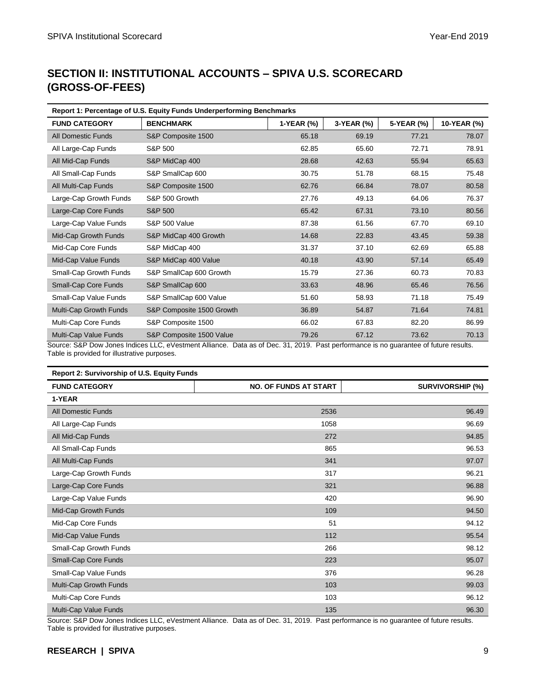# **SECTION II: INSTITUTIONAL ACCOUNTS – SPIVA U.S. SCORECARD (GROSS-OF-FEES)**

| Report 1: Percentage of U.S. Equity Funds Underperforming Benchmarks |                           |            |            |            |             |
|----------------------------------------------------------------------|---------------------------|------------|------------|------------|-------------|
| <b>FUND CATEGORY</b>                                                 | <b>BENCHMARK</b>          | 1-YEAR (%) | 3-YEAR (%) | 5-YEAR (%) | 10-YEAR (%) |
| <b>All Domestic Funds</b>                                            | S&P Composite 1500        | 65.18      | 69.19      | 77.21      | 78.07       |
| All Large-Cap Funds                                                  | S&P 500                   | 62.85      | 65.60      | 72.71      | 78.91       |
| All Mid-Cap Funds                                                    | S&P MidCap 400            | 28.68      | 42.63      | 55.94      | 65.63       |
| All Small-Cap Funds                                                  | S&P SmallCap 600          | 30.75      | 51.78      | 68.15      | 75.48       |
| All Multi-Cap Funds                                                  | S&P Composite 1500        | 62.76      | 66.84      | 78.07      | 80.58       |
| Large-Cap Growth Funds                                               | S&P 500 Growth            | 27.76      | 49.13      | 64.06      | 76.37       |
| Large-Cap Core Funds                                                 | S&P 500                   | 65.42      | 67.31      | 73.10      | 80.56       |
| Large-Cap Value Funds                                                | <b>S&amp;P 500 Value</b>  | 87.38      | 61.56      | 67.70      | 69.10       |
| Mid-Cap Growth Funds                                                 | S&P MidCap 400 Growth     | 14.68      | 22.83      | 43.45      | 59.38       |
| Mid-Cap Core Funds                                                   | S&P MidCap 400            | 31.37      | 37.10      | 62.69      | 65.88       |
| Mid-Cap Value Funds                                                  | S&P MidCap 400 Value      | 40.18      | 43.90      | 57.14      | 65.49       |
| Small-Cap Growth Funds                                               | S&P SmallCap 600 Growth   | 15.79      | 27.36      | 60.73      | 70.83       |
| Small-Cap Core Funds                                                 | S&P SmallCap 600          | 33.63      | 48.96      | 65.46      | 76.56       |
| Small-Cap Value Funds                                                | S&P SmallCap 600 Value    | 51.60      | 58.93      | 71.18      | 75.49       |
| Multi-Cap Growth Funds                                               | S&P Composite 1500 Growth | 36.89      | 54.87      | 71.64      | 74.81       |
| Multi-Cap Core Funds                                                 | S&P Composite 1500        | 66.02      | 67.83      | 82.20      | 86.99       |
| Multi-Cap Value Funds                                                | S&P Composite 1500 Value  | 79.26      | 67.12      | 73.62      | 70.13       |

Source: S&P Dow Jones Indices LLC, eVestment Alliance. Data as of Dec. 31, 2019. Past performance is no guarantee of future results. Table is provided for illustrative purposes.

| Report 2: Survivorship of U.S. Equity Funds |                              |                         |  |  |
|---------------------------------------------|------------------------------|-------------------------|--|--|
| <b>FUND CATEGORY</b>                        | <b>NO. OF FUNDS AT START</b> | <b>SURVIVORSHIP (%)</b> |  |  |
| 1-YEAR                                      |                              |                         |  |  |
| <b>All Domestic Funds</b>                   | 2536                         | 96.49                   |  |  |
| All Large-Cap Funds                         | 1058                         | 96.69                   |  |  |
| All Mid-Cap Funds                           | 272                          | 94.85                   |  |  |
| All Small-Cap Funds                         | 865                          | 96.53                   |  |  |
| All Multi-Cap Funds                         | 341                          | 97.07                   |  |  |
| Large-Cap Growth Funds                      | 317                          | 96.21                   |  |  |
| Large-Cap Core Funds                        | 321                          | 96.88                   |  |  |
| Large-Cap Value Funds                       | 420                          | 96.90                   |  |  |
| Mid-Cap Growth Funds                        | 109                          | 94.50                   |  |  |
| Mid-Cap Core Funds                          | 51                           | 94.12                   |  |  |
| Mid-Cap Value Funds                         | 112                          | 95.54                   |  |  |
| Small-Cap Growth Funds                      | 266                          | 98.12                   |  |  |
| Small-Cap Core Funds                        | 223                          | 95.07                   |  |  |
| Small-Cap Value Funds                       | 376                          | 96.28                   |  |  |
| Multi-Cap Growth Funds                      | 103                          | 99.03                   |  |  |
| Multi-Cap Core Funds                        | 103                          | 96.12                   |  |  |
| Multi-Cap Value Funds                       | 135                          | 96.30                   |  |  |

Source: S&P Dow Jones Indices LLC, eVestment Alliance. Data as of Dec. 31, 2019. Past performance is no guarantee of future results. Table is provided for illustrative purposes.

### **RESEARCH | SPIVA** 9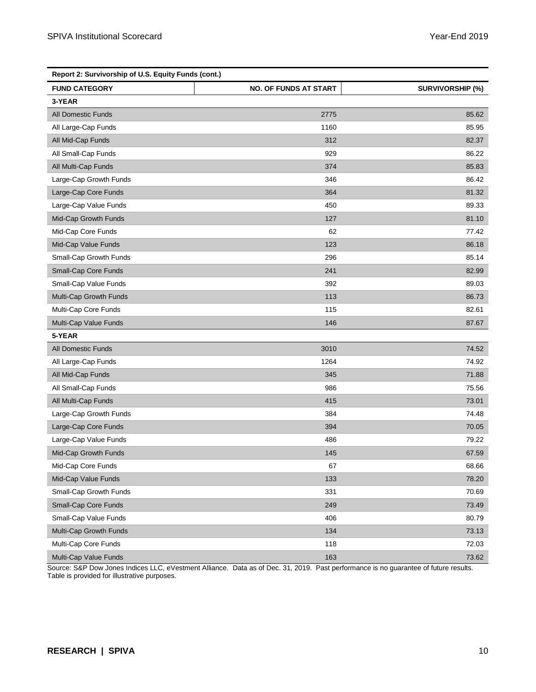| Report 2: Survivorship of U.S. Equity Funds (cont.) |                              |                         |  |  |
|-----------------------------------------------------|------------------------------|-------------------------|--|--|
| <b>FUND CATEGORY</b>                                | <b>NO. OF FUNDS AT START</b> | <b>SURVIVORSHIP (%)</b> |  |  |
| 3-YEAR                                              |                              |                         |  |  |
| <b>All Domestic Funds</b>                           | 2775                         | 85.62                   |  |  |
| All Large-Cap Funds                                 | 1160                         | 85.95                   |  |  |
| All Mid-Cap Funds                                   | 312                          | 82.37                   |  |  |
| All Small-Cap Funds                                 | 929                          | 86.22                   |  |  |
| All Multi-Cap Funds                                 | 374                          | 85.83                   |  |  |
| Large-Cap Growth Funds                              | 346                          | 86.42                   |  |  |
| Large-Cap Core Funds                                | 364                          | 81.32                   |  |  |
| Large-Cap Value Funds                               | 450                          | 89.33                   |  |  |
| Mid-Cap Growth Funds                                | 127                          | 81.10                   |  |  |
| Mid-Cap Core Funds                                  | 62                           | 77.42                   |  |  |
| Mid-Cap Value Funds                                 | 123                          | 86.18                   |  |  |
| Small-Cap Growth Funds                              | 296                          | 85.14                   |  |  |
| Small-Cap Core Funds                                | 241                          | 82.99                   |  |  |
| Small-Cap Value Funds                               | 392                          | 89.03                   |  |  |
| Multi-Cap Growth Funds                              | 113                          | 86.73                   |  |  |
| Multi-Cap Core Funds                                | 115                          | 82.61                   |  |  |
| Multi-Cap Value Funds                               | 146                          | 87.67                   |  |  |
| 5-YEAR                                              |                              |                         |  |  |
| <b>All Domestic Funds</b>                           | 3010                         | 74.52                   |  |  |
| All Large-Cap Funds                                 | 1264                         | 74.92                   |  |  |
| All Mid-Cap Funds                                   | 345                          | 71.88                   |  |  |
| All Small-Cap Funds                                 | 986                          | 75.56                   |  |  |
| All Multi-Cap Funds                                 | 415                          | 73.01                   |  |  |
| Large-Cap Growth Funds                              | 384                          | 74.48                   |  |  |
| Large-Cap Core Funds                                | 394                          | 70.05                   |  |  |
| Large-Cap Value Funds                               | 486                          | 79.22                   |  |  |
| Mid-Cap Growth Funds                                | 145                          | 67.59                   |  |  |
| Mid-Cap Core Funds                                  | 67                           | 68.66                   |  |  |
| Mid-Cap Value Funds                                 | 133                          | 78.20                   |  |  |
| Small-Cap Growth Funds                              | 331                          | 70.69                   |  |  |
| Small-Cap Core Funds                                | 249                          | 73.49                   |  |  |
| Small-Cap Value Funds                               | 406                          | 80.79                   |  |  |
| Multi-Cap Growth Funds                              | 134                          | 73.13                   |  |  |
| Multi-Cap Core Funds                                | 118                          | 72.03                   |  |  |
| Multi-Cap Value Funds                               | 163                          | 73.62                   |  |  |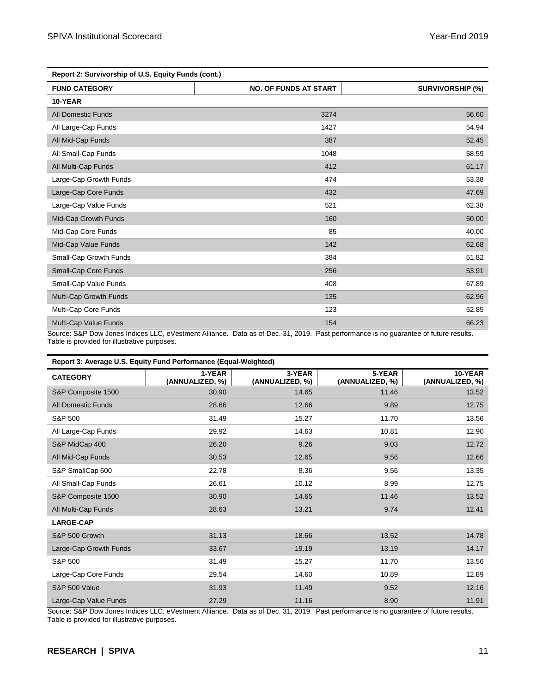| Report 2: Survivorship of U.S. Equity Funds (cont.) |                              |                         |  |  |
|-----------------------------------------------------|------------------------------|-------------------------|--|--|
| <b>FUND CATEGORY</b>                                | <b>NO. OF FUNDS AT START</b> | <b>SURVIVORSHIP (%)</b> |  |  |
| 10-YEAR                                             |                              |                         |  |  |
| <b>All Domestic Funds</b>                           | 3274                         | 56.60                   |  |  |
| All Large-Cap Funds                                 | 1427                         | 54.94                   |  |  |
| All Mid-Cap Funds                                   | 387                          | 52.45                   |  |  |
| All Small-Cap Funds                                 | 1048                         | 58.59                   |  |  |
| All Multi-Cap Funds                                 | 412                          | 61.17                   |  |  |
| Large-Cap Growth Funds                              | 474                          | 53.38                   |  |  |
| Large-Cap Core Funds                                | 432                          | 47.69                   |  |  |
| Large-Cap Value Funds                               | 521                          | 62.38                   |  |  |
| Mid-Cap Growth Funds                                | 160                          | 50.00                   |  |  |
| Mid-Cap Core Funds                                  | 85                           | 40.00                   |  |  |
| Mid-Cap Value Funds                                 | 142                          | 62.68                   |  |  |
| Small-Cap Growth Funds                              | 384                          | 51.82                   |  |  |
| Small-Cap Core Funds                                | 256                          | 53.91                   |  |  |
| Small-Cap Value Funds                               | 408                          | 67.89                   |  |  |
| Multi-Cap Growth Funds                              | 135                          | 62.96                   |  |  |
| Multi-Cap Core Funds                                | 123                          | 52.85                   |  |  |
| Multi-Cap Value Funds                               | 154                          | 66.23                   |  |  |

| Report 3: Average U.S. Equity Fund Performance (Equal-Weighted) |                           |                           |                           |                            |  |
|-----------------------------------------------------------------|---------------------------|---------------------------|---------------------------|----------------------------|--|
| <b>CATEGORY</b>                                                 | 1-YEAR<br>(ANNUALIZED, %) | 3-YEAR<br>(ANNUALIZED, %) | 5-YEAR<br>(ANNUALIZED, %) | 10-YEAR<br>(ANNUALIZED, %) |  |
| S&P Composite 1500                                              | 30.90                     | 14.65                     | 11.46                     | 13.52                      |  |
| <b>All Domestic Funds</b>                                       | 28.66                     | 12.66                     | 9.89                      | 12.75                      |  |
| S&P 500                                                         | 31.49                     | 15.27                     | 11.70                     | 13.56                      |  |
| All Large-Cap Funds                                             | 29.92                     | 14.63                     | 10.81                     | 12.90                      |  |
| S&P MidCap 400                                                  | 26.20                     | 9.26                      | 9.03                      | 12.72                      |  |
| All Mid-Cap Funds                                               | 30.53                     | 12.65                     | 9.56                      | 12.66                      |  |
| S&P SmallCap 600                                                | 22.78                     | 8.36                      | 9.56                      | 13.35                      |  |
| All Small-Cap Funds                                             | 26.61                     | 10.12                     | 8.99                      | 12.75                      |  |
| S&P Composite 1500                                              | 30.90                     | 14.65                     | 11.46                     | 13.52                      |  |
| All Multi-Cap Funds                                             | 28.63                     | 13.21                     | 9.74                      | 12.41                      |  |
| <b>LARGE-CAP</b>                                                |                           |                           |                           |                            |  |
| S&P 500 Growth                                                  | 31.13                     | 18.66                     | 13.52                     | 14.78                      |  |
| Large-Cap Growth Funds                                          | 33.67                     | 19.19                     | 13.19                     | 14.17                      |  |
| S&P 500                                                         | 31.49                     | 15.27                     | 11.70                     | 13.56                      |  |
| Large-Cap Core Funds                                            | 29.54                     | 14.60                     | 10.89                     | 12.89                      |  |
| <b>S&amp;P 500 Value</b>                                        | 31.93                     | 11.49                     | 9.52                      | 12.16                      |  |
| Large-Cap Value Funds                                           | 27.29                     | 11.16                     | 8.90                      | 11.91                      |  |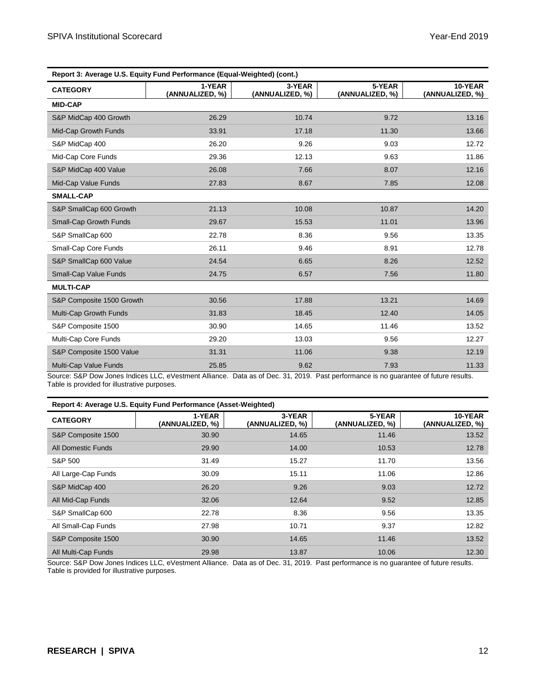| Report 3: Average U.S. Equity Fund Performance (Equal-Weighted) (cont.) |                           |                           |                           |                            |  |
|-------------------------------------------------------------------------|---------------------------|---------------------------|---------------------------|----------------------------|--|
| <b>CATEGORY</b>                                                         | 1-YEAR<br>(ANNUALIZED, %) | 3-YEAR<br>(ANNUALIZED, %) | 5-YEAR<br>(ANNUALIZED, %) | 10-YEAR<br>(ANNUALIZED, %) |  |
| <b>MID-CAP</b>                                                          |                           |                           |                           |                            |  |
| S&P MidCap 400 Growth                                                   | 26.29                     | 10.74                     | 9.72                      | 13.16                      |  |
| Mid-Cap Growth Funds                                                    | 33.91                     | 17.18                     | 11.30                     | 13.66                      |  |
| S&P MidCap 400                                                          | 26.20                     | 9.26                      | 9.03                      | 12.72                      |  |
| Mid-Cap Core Funds                                                      | 29.36                     | 12.13                     | 9.63                      | 11.86                      |  |
| S&P MidCap 400 Value                                                    | 26.08                     | 7.66                      | 8.07                      | 12.16                      |  |
| Mid-Cap Value Funds                                                     | 27.83                     | 8.67                      | 7.85                      | 12.08                      |  |
| <b>SMALL-CAP</b>                                                        |                           |                           |                           |                            |  |
| S&P SmallCap 600 Growth                                                 | 21.13                     | 10.08                     | 10.87                     | 14.20                      |  |
| Small-Cap Growth Funds                                                  | 29.67                     | 15.53                     | 11.01                     | 13.96                      |  |
| S&P SmallCap 600                                                        | 22.78                     | 8.36                      | 9.56                      | 13.35                      |  |
| Small-Cap Core Funds                                                    | 26.11                     | 9.46                      | 8.91                      | 12.78                      |  |
| S&P SmallCap 600 Value                                                  | 24.54                     | 6.65                      | 8.26                      | 12.52                      |  |
| Small-Cap Value Funds                                                   | 24.75                     | 6.57                      | 7.56                      | 11.80                      |  |
| <b>MULTI-CAP</b>                                                        |                           |                           |                           |                            |  |
| S&P Composite 1500 Growth                                               | 30.56                     | 17.88                     | 13.21                     | 14.69                      |  |
| Multi-Cap Growth Funds                                                  | 31.83                     | 18.45                     | 12.40                     | 14.05                      |  |
| S&P Composite 1500                                                      | 30.90                     | 14.65                     | 11.46                     | 13.52                      |  |
| Multi-Cap Core Funds                                                    | 29.20                     | 13.03                     | 9.56                      | 12.27                      |  |
| S&P Composite 1500 Value                                                | 31.31                     | 11.06                     | 9.38                      | 12.19                      |  |
| Multi-Cap Value Funds                                                   | 25.85                     | 9.62                      | 7.93                      | 11.33                      |  |

|  | Report 4: Average U.S. Equity Fund Performance (Asset-Weighted) |  |
|--|-----------------------------------------------------------------|--|
|  |                                                                 |  |

| <b>CATEGORY</b>           | 1-YEAR<br>(ANNUALIZED, %) | 3-YEAR<br>(ANNUALIZED, %) | 5-YEAR<br>(ANNUALIZED, %) | 10-YEAR<br>(ANNUALIZED, %) |
|---------------------------|---------------------------|---------------------------|---------------------------|----------------------------|
| S&P Composite 1500        | 30.90                     | 14.65                     | 11.46                     | 13.52                      |
| <b>All Domestic Funds</b> | 29.90                     | 14.00                     | 10.53                     | 12.78                      |
| S&P 500                   | 31.49                     | 15.27                     | 11.70                     | 13.56                      |
| All Large-Cap Funds       | 30.09                     | 15.11                     | 11.06                     | 12.86                      |
| S&P MidCap 400            | 26.20                     | 9.26                      | 9.03                      | 12.72                      |
| All Mid-Cap Funds         | 32.06                     | 12.64                     | 9.52                      | 12.85                      |
| S&P SmallCap 600          | 22.78                     | 8.36                      | 9.56                      | 13.35                      |
| All Small-Cap Funds       | 27.98                     | 10.71                     | 9.37                      | 12.82                      |
| S&P Composite 1500        | 30.90                     | 14.65                     | 11.46                     | 13.52                      |
| All Multi-Cap Funds       | 29.98                     | 13.87                     | 10.06                     | 12.30                      |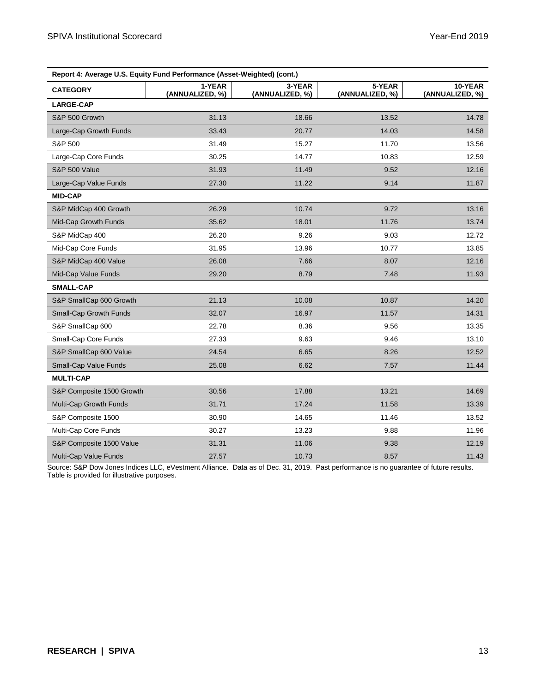| Report 4: Average U.S. Equity Fund Performance (Asset-Weighted) (cont.) |                           |                           |                           |                            |  |
|-------------------------------------------------------------------------|---------------------------|---------------------------|---------------------------|----------------------------|--|
| <b>CATEGORY</b>                                                         | 1-YEAR<br>(ANNUALIZED, %) | 3-YEAR<br>(ANNUALIZED, %) | 5-YEAR<br>(ANNUALIZED, %) | 10-YEAR<br>(ANNUALIZED, %) |  |
| <b>LARGE-CAP</b>                                                        |                           |                           |                           |                            |  |
| S&P 500 Growth                                                          | 31.13                     | 18.66                     | 13.52                     | 14.78                      |  |
| Large-Cap Growth Funds                                                  | 33.43                     | 20.77                     | 14.03                     | 14.58                      |  |
| S&P 500                                                                 | 31.49                     | 15.27                     | 11.70                     | 13.56                      |  |
| Large-Cap Core Funds                                                    | 30.25                     | 14.77                     | 10.83                     | 12.59                      |  |
| <b>S&amp;P 500 Value</b>                                                | 31.93                     | 11.49                     | 9.52                      | 12.16                      |  |
| Large-Cap Value Funds                                                   | 27.30                     | 11.22                     | 9.14                      | 11.87                      |  |
| <b>MID-CAP</b>                                                          |                           |                           |                           |                            |  |
| S&P MidCap 400 Growth                                                   | 26.29                     | 10.74                     | 9.72                      | 13.16                      |  |
| Mid-Cap Growth Funds                                                    | 35.62                     | 18.01                     | 11.76                     | 13.74                      |  |
| S&P MidCap 400                                                          | 26.20                     | 9.26                      | 9.03                      | 12.72                      |  |
| Mid-Cap Core Funds                                                      | 31.95                     | 13.96                     | 10.77                     | 13.85                      |  |
| S&P MidCap 400 Value                                                    | 26.08                     | 7.66                      | 8.07                      | 12.16                      |  |
| Mid-Cap Value Funds                                                     | 29.20                     | 8.79                      | 7.48                      | 11.93                      |  |
| <b>SMALL-CAP</b>                                                        |                           |                           |                           |                            |  |
| S&P SmallCap 600 Growth                                                 | 21.13                     | 10.08                     | 10.87                     | 14.20                      |  |
| Small-Cap Growth Funds                                                  | 32.07                     | 16.97                     | 11.57                     | 14.31                      |  |
| S&P SmallCap 600                                                        | 22.78                     | 8.36                      | 9.56                      | 13.35                      |  |
| Small-Cap Core Funds                                                    | 27.33                     | 9.63                      | 9.46                      | 13.10                      |  |
| S&P SmallCap 600 Value                                                  | 24.54                     | 6.65                      | 8.26                      | 12.52                      |  |
| Small-Cap Value Funds                                                   | 25.08                     | 6.62                      | 7.57                      | 11.44                      |  |
| <b>MULTI-CAP</b>                                                        |                           |                           |                           |                            |  |
| S&P Composite 1500 Growth                                               | 30.56                     | 17.88                     | 13.21                     | 14.69                      |  |
| Multi-Cap Growth Funds                                                  | 31.71                     | 17.24                     | 11.58                     | 13.39                      |  |
| S&P Composite 1500                                                      | 30.90                     | 14.65                     | 11.46                     | 13.52                      |  |
| Multi-Cap Core Funds                                                    | 30.27                     | 13.23                     | 9.88                      | 11.96                      |  |
| S&P Composite 1500 Value                                                | 31.31                     | 11.06                     | 9.38                      | 12.19                      |  |
| Multi-Cap Value Funds                                                   | 27.57                     | 10.73                     | 8.57                      | 11.43                      |  |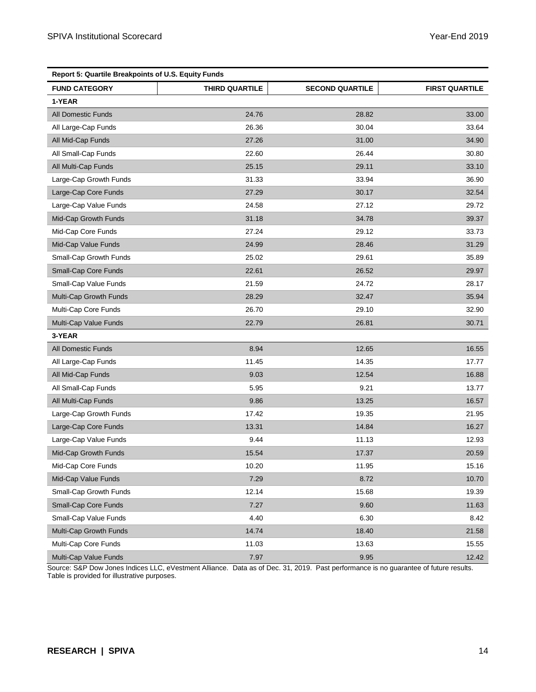| <b>Report 5: Quartile Breakpoints of U.S. Equity Funds</b> |                |                        |                       |  |  |
|------------------------------------------------------------|----------------|------------------------|-----------------------|--|--|
| <b>FUND CATEGORY</b>                                       | THIRD QUARTILE | <b>SECOND QUARTILE</b> | <b>FIRST QUARTILE</b> |  |  |
| 1-YEAR                                                     |                |                        |                       |  |  |
| <b>All Domestic Funds</b>                                  | 24.76          | 28.82                  | 33.00                 |  |  |
| All Large-Cap Funds                                        | 26.36          | 30.04                  | 33.64                 |  |  |
| All Mid-Cap Funds                                          | 27.26          | 31.00                  | 34.90                 |  |  |
| All Small-Cap Funds                                        | 22.60          | 26.44                  | 30.80                 |  |  |
| All Multi-Cap Funds                                        | 25.15          | 29.11                  | 33.10                 |  |  |
| Large-Cap Growth Funds                                     | 31.33          | 33.94                  | 36.90                 |  |  |
| Large-Cap Core Funds                                       | 27.29          | 30.17                  | 32.54                 |  |  |
| Large-Cap Value Funds                                      | 24.58          | 27.12                  | 29.72                 |  |  |
| Mid-Cap Growth Funds                                       | 31.18          | 34.78                  | 39.37                 |  |  |
| Mid-Cap Core Funds                                         | 27.24          | 29.12                  | 33.73                 |  |  |
| Mid-Cap Value Funds                                        | 24.99          | 28.46                  | 31.29                 |  |  |
| Small-Cap Growth Funds                                     | 25.02          | 29.61                  | 35.89                 |  |  |
| Small-Cap Core Funds                                       | 22.61          | 26.52                  | 29.97                 |  |  |
| Small-Cap Value Funds                                      | 21.59          | 24.72                  | 28.17                 |  |  |
| Multi-Cap Growth Funds                                     | 28.29          | 32.47                  | 35.94                 |  |  |
| Multi-Cap Core Funds                                       | 26.70          | 29.10                  | 32.90                 |  |  |
| Multi-Cap Value Funds                                      | 22.79          | 26.81                  | 30.71                 |  |  |
| 3-YEAR                                                     |                |                        |                       |  |  |
| <b>All Domestic Funds</b>                                  | 8.94           | 12.65                  | 16.55                 |  |  |
| All Large-Cap Funds                                        | 11.45          | 14.35                  | 17.77                 |  |  |
| All Mid-Cap Funds                                          | 9.03           | 12.54                  | 16.88                 |  |  |
| All Small-Cap Funds                                        | 5.95           | 9.21                   | 13.77                 |  |  |
| All Multi-Cap Funds                                        | 9.86           | 13.25                  | 16.57                 |  |  |
| Large-Cap Growth Funds                                     | 17.42          | 19.35                  | 21.95                 |  |  |
| Large-Cap Core Funds                                       | 13.31          | 14.84                  | 16.27                 |  |  |
| Large-Cap Value Funds                                      | 9.44           | 11.13                  | 12.93                 |  |  |
| Mid-Cap Growth Funds                                       | 15.54          | 17.37                  | 20.59                 |  |  |
| Mid-Cap Core Funds                                         | 10.20          | 11.95                  | 15.16                 |  |  |
| Mid-Cap Value Funds                                        | 7.29           | 8.72                   | 10.70                 |  |  |
| Small-Cap Growth Funds                                     | 12.14          | 15.68                  | 19.39                 |  |  |
| Small-Cap Core Funds                                       | 7.27           | 9.60                   | 11.63                 |  |  |
| Small-Cap Value Funds                                      | 4.40           | 6.30                   | 8.42                  |  |  |
| Multi-Cap Growth Funds                                     | 14.74          | 18.40                  | 21.58                 |  |  |
| Multi-Cap Core Funds                                       | 11.03          | 13.63                  | 15.55                 |  |  |
| Multi-Cap Value Funds                                      | 7.97           | 9.95                   | 12.42                 |  |  |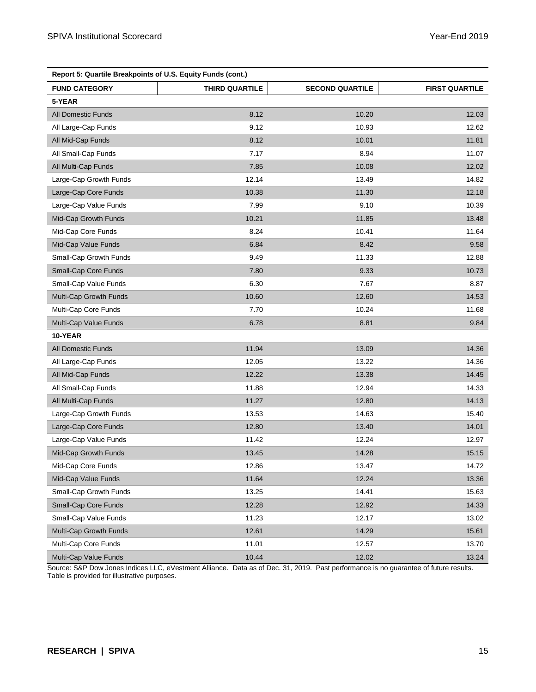| Report 5: Quartile Breakpoints of U.S. Equity Funds (cont.) |                       |                        |                       |  |  |
|-------------------------------------------------------------|-----------------------|------------------------|-----------------------|--|--|
| <b>FUND CATEGORY</b>                                        | <b>THIRD QUARTILE</b> | <b>SECOND QUARTILE</b> | <b>FIRST QUARTILE</b> |  |  |
| 5-YEAR                                                      |                       |                        |                       |  |  |
| <b>All Domestic Funds</b>                                   | 8.12                  | 10.20                  | 12.03                 |  |  |
| All Large-Cap Funds                                         | 9.12                  | 10.93                  | 12.62                 |  |  |
| All Mid-Cap Funds                                           | 8.12                  | 10.01                  | 11.81                 |  |  |
| All Small-Cap Funds                                         | 7.17                  | 8.94                   | 11.07                 |  |  |
| All Multi-Cap Funds                                         | 7.85                  | 10.08                  | 12.02                 |  |  |
| Large-Cap Growth Funds                                      | 12.14                 | 13.49                  | 14.82                 |  |  |
| Large-Cap Core Funds                                        | 10.38                 | 11.30                  | 12.18                 |  |  |
| Large-Cap Value Funds                                       | 7.99                  | 9.10                   | 10.39                 |  |  |
| Mid-Cap Growth Funds                                        | 10.21                 | 11.85                  | 13.48                 |  |  |
| Mid-Cap Core Funds                                          | 8.24                  | 10.41                  | 11.64                 |  |  |
| Mid-Cap Value Funds                                         | 6.84                  | 8.42                   | 9.58                  |  |  |
| Small-Cap Growth Funds                                      | 9.49                  | 11.33                  | 12.88                 |  |  |
| Small-Cap Core Funds                                        | 7.80                  | 9.33                   | 10.73                 |  |  |
| Small-Cap Value Funds                                       | 6.30                  | 7.67                   | 8.87                  |  |  |
| Multi-Cap Growth Funds                                      | 10.60                 | 12.60                  | 14.53                 |  |  |
| Multi-Cap Core Funds                                        | 7.70                  | 10.24                  | 11.68                 |  |  |
| Multi-Cap Value Funds                                       | 6.78                  | 8.81                   | 9.84                  |  |  |
| 10-YEAR                                                     |                       |                        |                       |  |  |
| All Domestic Funds                                          | 11.94                 | 13.09                  | 14.36                 |  |  |
| All Large-Cap Funds                                         | 12.05                 | 13.22                  | 14.36                 |  |  |
| All Mid-Cap Funds                                           | 12.22                 | 13.38                  | 14.45                 |  |  |
| All Small-Cap Funds                                         | 11.88                 | 12.94                  | 14.33                 |  |  |
| All Multi-Cap Funds                                         | 11.27                 | 12.80                  | 14.13                 |  |  |
| Large-Cap Growth Funds                                      | 13.53                 | 14.63                  | 15.40                 |  |  |
| Large-Cap Core Funds                                        | 12.80                 | 13.40                  | 14.01                 |  |  |
| Large-Cap Value Funds                                       | 11.42                 | 12.24                  | 12.97                 |  |  |
| Mid-Cap Growth Funds                                        | 13.45                 | 14.28                  | 15.15                 |  |  |
| Mid-Cap Core Funds                                          | 12.86                 | 13.47                  | 14.72                 |  |  |
| Mid-Cap Value Funds                                         | 11.64                 | 12.24                  | 13.36                 |  |  |
| Small-Cap Growth Funds                                      | 13.25                 | 14.41                  | 15.63                 |  |  |
| Small-Cap Core Funds                                        | 12.28                 | 12.92                  | 14.33                 |  |  |
| Small-Cap Value Funds                                       | 11.23                 | 12.17                  | 13.02                 |  |  |
| Multi-Cap Growth Funds                                      | 12.61                 | 14.29                  | 15.61                 |  |  |
| Multi-Cap Core Funds                                        | 11.01                 | 12.57                  | 13.70                 |  |  |
| Multi-Cap Value Funds                                       | 10.44                 | 12.02                  | 13.24                 |  |  |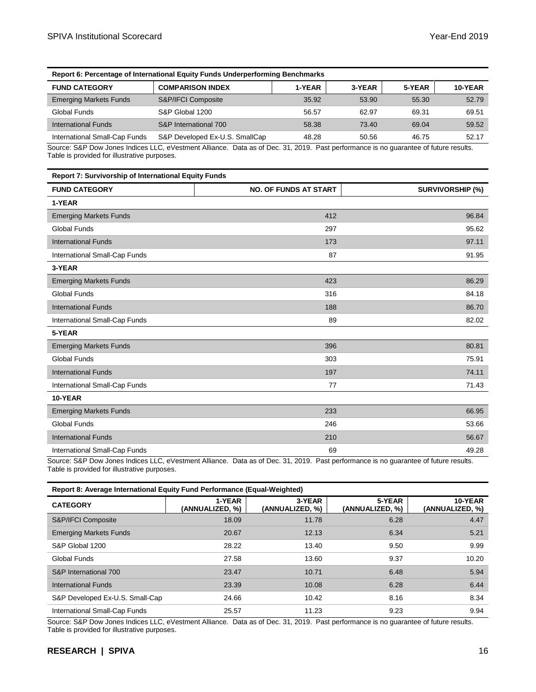| Report 6: Percentage of International Equity Funds Underperforming Benchmarks |                                |        |        |        |         |
|-------------------------------------------------------------------------------|--------------------------------|--------|--------|--------|---------|
| <b>FUND CATEGORY</b>                                                          | <b>COMPARISON INDEX</b>        | 1-YEAR | 3-YEAR | 5-YEAR | 10-YEAR |
| <b>Emerging Markets Funds</b>                                                 | S&P/IFCI Composite             | 35.92  | 53.90  | 55.30  | 52.79   |
| Global Funds                                                                  | S&P Global 1200                | 56.57  | 62.97  | 69.31  | 69.51   |
| International Funds                                                           | S&P International 700          | 58.38  | 73.40  | 69.04  | 59.52   |
| International Small-Cap Funds                                                 | S&P Developed Ex-U.S. SmallCap | 48.28  | 50.56  | 46.75  | 52.17   |

| Report 7: Survivorship of International Equity Funds |                              |                         |  |  |  |
|------------------------------------------------------|------------------------------|-------------------------|--|--|--|
| <b>FUND CATEGORY</b>                                 | <b>NO. OF FUNDS AT START</b> | <b>SURVIVORSHIP (%)</b> |  |  |  |
| 1-YEAR                                               |                              |                         |  |  |  |
| <b>Emerging Markets Funds</b>                        | 412                          | 96.84                   |  |  |  |
| <b>Global Funds</b>                                  | 297                          | 95.62                   |  |  |  |
| <b>International Funds</b>                           | 173                          | 97.11                   |  |  |  |
| International Small-Cap Funds                        | 87                           | 91.95                   |  |  |  |
| 3-YEAR                                               |                              |                         |  |  |  |
| <b>Emerging Markets Funds</b>                        | 423                          | 86.29                   |  |  |  |
| <b>Global Funds</b>                                  | 316                          | 84.18                   |  |  |  |
| <b>International Funds</b>                           | 188                          | 86.70                   |  |  |  |
| International Small-Cap Funds                        | 89                           | 82.02                   |  |  |  |
| 5-YEAR                                               |                              |                         |  |  |  |
| <b>Emerging Markets Funds</b>                        | 396                          | 80.81                   |  |  |  |
| <b>Global Funds</b>                                  | 303                          | 75.91                   |  |  |  |
| <b>International Funds</b>                           | 197                          | 74.11                   |  |  |  |
| International Small-Cap Funds                        | 77                           | 71.43                   |  |  |  |
| 10-YEAR                                              |                              |                         |  |  |  |
| <b>Emerging Markets Funds</b>                        | 233                          | 66.95                   |  |  |  |
| <b>Global Funds</b>                                  | 246                          | 53.66                   |  |  |  |
| <b>International Funds</b>                           | 210                          | 56.67                   |  |  |  |
| International Small-Cap Funds                        | 69                           | 49.28                   |  |  |  |

Source: S&P Dow Jones Indices LLC, eVestment Alliance. Data as of Dec. 31, 2019. Past performance is no guarantee of future results. Table is provided for illustrative purposes.

| Report 8: Average International Equity Fund Performance (Equal-Weighted) |  |  |
|--------------------------------------------------------------------------|--|--|
|                                                                          |  |  |

| <b>CATEGORY</b>                 | 1-YEAR<br>(ANNUALIZED, %) | 3-YEAR<br>(ANNUALIZED. %) | 5-YEAR<br>(ANNUALIZED, %) | 10-YEAR<br>(ANNUALIZED, %) |  |  |  |  |
|---------------------------------|---------------------------|---------------------------|---------------------------|----------------------------|--|--|--|--|
| S&P/IFCI Composite              | 18.09                     | 11.78                     | 6.28                      | 4.47                       |  |  |  |  |
| <b>Emerging Markets Funds</b>   | 20.67                     | 12.13                     | 6.34                      | 5.21                       |  |  |  |  |
| S&P Global 1200                 | 28.22                     | 13.40                     | 9.50                      | 9.99                       |  |  |  |  |
| Global Funds                    | 27.58                     | 13.60                     | 9.37                      | 10.20                      |  |  |  |  |
| S&P International 700           | 23.47                     | 10.71                     | 6.48                      | 5.94                       |  |  |  |  |
| International Funds             | 23.39                     | 10.08                     | 6.28                      | 6.44                       |  |  |  |  |
| S&P Developed Ex-U.S. Small-Cap | 24.66                     | 10.42                     | 8.16                      | 8.34                       |  |  |  |  |
| International Small-Cap Funds   | 25.57                     | 11.23                     | 9.23                      | 9.94                       |  |  |  |  |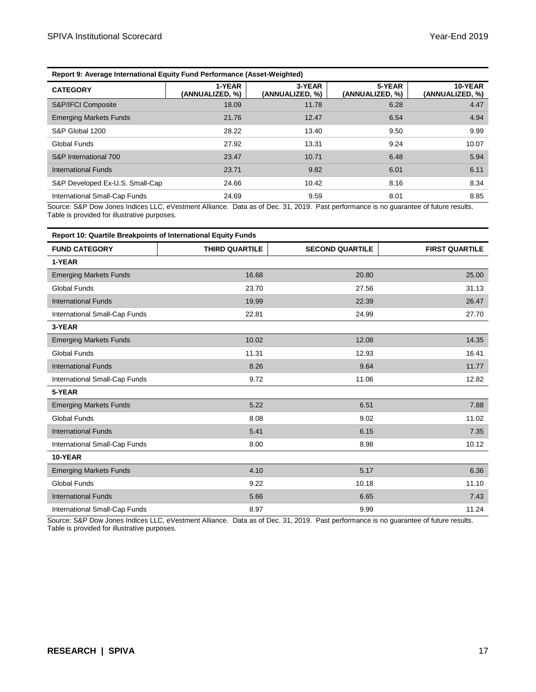| Report 9: Average International Equity Fund Performance (Asset-Weighted) |                           |                           |                            |  |  |
|--------------------------------------------------------------------------|---------------------------|---------------------------|----------------------------|--|--|
| 1-YEAR<br>(ANNUALIZED, %)                                                | 3-YEAR<br>(ANNUALIZED, %) | 5-YEAR<br>(ANNUALIZED, %) | 10-YEAR<br>(ANNUALIZED, %) |  |  |
| 18.09                                                                    | 11.78                     | 6.28                      | 4.47                       |  |  |
| 21.76                                                                    | 12.47                     | 6.54                      | 4.94                       |  |  |
| 28.22                                                                    | 13.40                     | 9.50                      | 9.99                       |  |  |
| 27.92                                                                    | 13.31                     | 9.24                      | 10.07                      |  |  |
| 23.47                                                                    | 10.71                     | 6.48                      | 5.94                       |  |  |
| 23.71                                                                    | 9.82                      | 6.01                      | 6.11                       |  |  |
| 24.66                                                                    | 10.42                     | 8.16                      | 8.34                       |  |  |
| 24.69                                                                    | 9.59                      | 8.01                      | 8.85                       |  |  |
|                                                                          |                           |                           |                            |  |  |

| Report 10: Quartile Breakpoints of International Equity Funds |                |                        |                       |  |  |
|---------------------------------------------------------------|----------------|------------------------|-----------------------|--|--|
| <b>FUND CATEGORY</b>                                          | THIRD QUARTILE | <b>SECOND QUARTILE</b> | <b>FIRST QUARTILE</b> |  |  |
| 1-YEAR                                                        |                |                        |                       |  |  |
| <b>Emerging Markets Funds</b>                                 | 16.68          | 20.80                  | 25.00                 |  |  |
| <b>Global Funds</b>                                           | 23.70          | 27.56                  | 31.13                 |  |  |
| <b>International Funds</b>                                    | 19.99          | 22.39                  | 26.47                 |  |  |
| International Small-Cap Funds                                 | 22.81          | 24.99                  | 27.70                 |  |  |
| 3-YEAR                                                        |                |                        |                       |  |  |
| <b>Emerging Markets Funds</b>                                 | 10.02          | 12.08                  | 14.35                 |  |  |
| <b>Global Funds</b>                                           | 11.31          | 12.93                  | 16.41                 |  |  |
| <b>International Funds</b>                                    | 8.26           | 9.64                   | 11.77                 |  |  |
| International Small-Cap Funds                                 | 9.72           | 11.06                  | 12.82                 |  |  |
| 5-YEAR                                                        |                |                        |                       |  |  |
| <b>Emerging Markets Funds</b>                                 | 5.22           | 6.51                   | 7.88                  |  |  |
| <b>Global Funds</b>                                           | 8.08           | 9.02                   | 11.02                 |  |  |
| <b>International Funds</b>                                    | 5.41           | 6.15                   | 7.35                  |  |  |
| International Small-Cap Funds                                 | 8.00           | 8.98                   | 10.12                 |  |  |
| 10-YEAR                                                       |                |                        |                       |  |  |
| <b>Emerging Markets Funds</b>                                 | 4.10           | 5.17                   | 6.36                  |  |  |
| <b>Global Funds</b>                                           | 9.22           | 10.18                  | 11.10                 |  |  |
| <b>International Funds</b>                                    | 5.66           | 6.65                   | 7.43                  |  |  |
| International Small-Cap Funds                                 | 8.97           | 9.99                   | 11.24                 |  |  |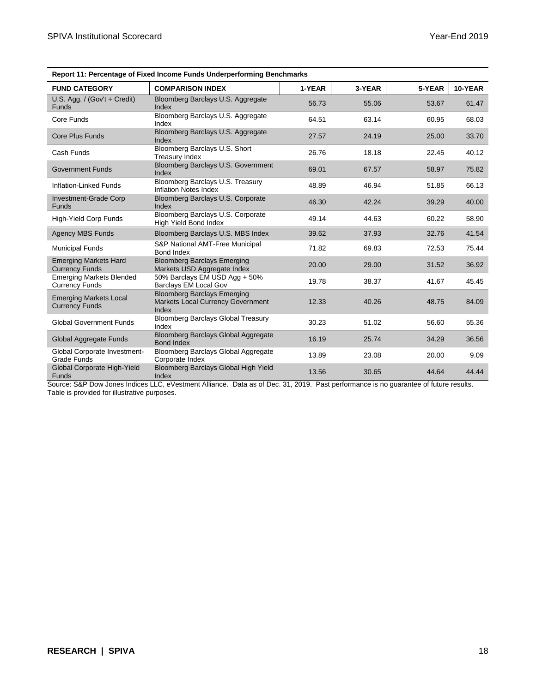| Report TT. Fercentage of Fixed income Funds Onderpenorming Benchmarks |                                                                                         |        |        |        |         |
|-----------------------------------------------------------------------|-----------------------------------------------------------------------------------------|--------|--------|--------|---------|
| <b>FUND CATEGORY</b>                                                  | <b>COMPARISON INDEX</b>                                                                 | 1-YEAR | 3-YEAR | 5-YEAR | 10-YEAR |
| U.S. Agg. / $(Gov't + Credit)$<br><b>Funds</b>                        | Bloomberg Barclays U.S. Aggregate<br>Index                                              | 56.73  | 55.06  | 53.67  | 61.47   |
| Core Funds                                                            | Bloomberg Barclays U.S. Aggregate<br>Index                                              | 64.51  | 63.14  | 60.95  | 68.03   |
| <b>Core Plus Funds</b>                                                | Bloomberg Barclays U.S. Aggregate<br>Index                                              | 27.57  | 24.19  | 25.00  | 33.70   |
| Cash Funds                                                            | Bloomberg Barclays U.S. Short<br>Treasury Index                                         | 26.76  | 18.18  | 22.45  | 40.12   |
| <b>Government Funds</b>                                               | Bloomberg Barclays U.S. Government<br>Index                                             | 69.01  | 67.57  | 58.97  | 75.82   |
| Inflation-Linked Funds                                                | Bloomberg Barclays U.S. Treasury<br>Inflation Notes Index                               | 48.89  | 46.94  | 51.85  | 66.13   |
| Investment-Grade Corp<br><b>Funds</b>                                 | Bloomberg Barclays U.S. Corporate<br>Index                                              | 46.30  | 42.24  | 39.29  | 40.00   |
| High-Yield Corp Funds                                                 | Bloomberg Barclays U.S. Corporate<br><b>High Yield Bond Index</b>                       | 49.14  | 44.63  | 60.22  | 58.90   |
| <b>Agency MBS Funds</b>                                               | Bloomberg Barclays U.S. MBS Index                                                       | 39.62  | 37.93  | 32.76  | 41.54   |
| <b>Municipal Funds</b>                                                | S&P National AMT-Free Municipal<br>Bond Index                                           | 71.82  | 69.83  | 72.53  | 75.44   |
| <b>Emerging Markets Hard</b><br><b>Currency Funds</b>                 | <b>Bloomberg Barclays Emerging</b><br>Markets USD Aggregate Index                       | 20.00  | 29.00  | 31.52  | 36.92   |
| <b>Emerging Markets Blended</b><br><b>Currency Funds</b>              | 50% Barclays EM USD Agg + 50%<br>Barclays EM Local Gov                                  | 19.78  | 38.37  | 41.67  | 45.45   |
| <b>Emerging Markets Local</b><br><b>Currency Funds</b>                | <b>Bloomberg Barclays Emerging</b><br><b>Markets Local Currency Government</b><br>Index | 12.33  | 40.26  | 48.75  | 84.09   |
| <b>Global Government Funds</b>                                        | <b>Bloomberg Barclays Global Treasury</b><br>Index                                      | 30.23  | 51.02  | 56.60  | 55.36   |
| Global Aggregate Funds                                                | Bloomberg Barclays Global Aggregate<br><b>Bond Index</b>                                | 16.19  | 25.74  | 34.29  | 36.56   |
| Global Corporate Investment-<br><b>Grade Funds</b>                    | Bloomberg Barclays Global Aggregate<br>Corporate Index                                  | 13.89  | 23.08  | 20.00  | 9.09    |
| Global Corporate High-Yield<br><b>Funds</b>                           | Bloomberg Barclays Global High Yield<br>Index                                           | 13.56  | 30.65  | 44.64  | 44.44   |

| <b>Report 11: Percentage of Fixed Income Funds Underperforming Benchmarks</b> |  |  |
|-------------------------------------------------------------------------------|--|--|
|                                                                               |  |  |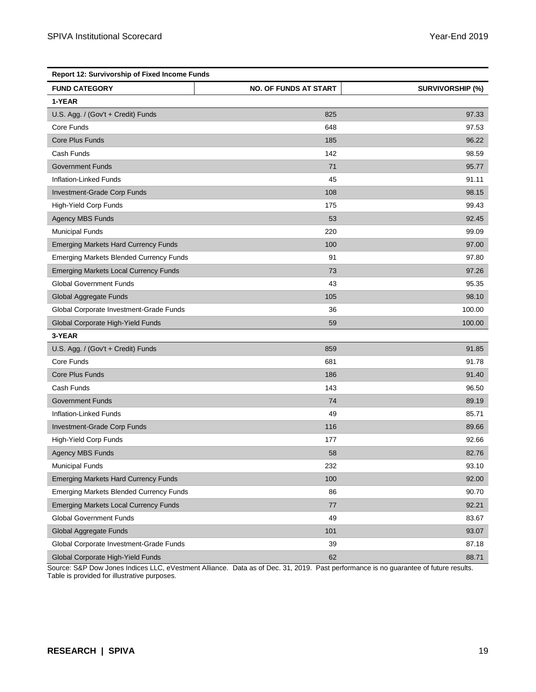| <b>Report 12: Survivorship of Fixed Income Funds</b> |                              |                         |  |  |
|------------------------------------------------------|------------------------------|-------------------------|--|--|
| <b>FUND CATEGORY</b>                                 | <b>NO. OF FUNDS AT START</b> | <b>SURVIVORSHIP (%)</b> |  |  |
| 1-YEAR                                               |                              |                         |  |  |
| U.S. Agg. / (Gov't + Credit) Funds                   | 825                          | 97.33                   |  |  |
| Core Funds                                           | 648                          | 97.53                   |  |  |
| Core Plus Funds                                      | 185                          | 96.22                   |  |  |
| Cash Funds                                           | 142                          | 98.59                   |  |  |
| <b>Government Funds</b>                              | 71                           | 95.77                   |  |  |
| Inflation-Linked Funds                               | 45                           | 91.11                   |  |  |
| Investment-Grade Corp Funds                          | 108                          | 98.15                   |  |  |
| High-Yield Corp Funds                                | 175                          | 99.43                   |  |  |
| <b>Agency MBS Funds</b>                              | 53                           | 92.45                   |  |  |
| <b>Municipal Funds</b>                               | 220                          | 99.09                   |  |  |
| <b>Emerging Markets Hard Currency Funds</b>          | 100                          | 97.00                   |  |  |
| <b>Emerging Markets Blended Currency Funds</b>       | 91                           | 97.80                   |  |  |
| <b>Emerging Markets Local Currency Funds</b>         | 73                           | 97.26                   |  |  |
| <b>Global Government Funds</b>                       | 43                           | 95.35                   |  |  |
| Global Aggregate Funds                               | 105                          | 98.10                   |  |  |
| Global Corporate Investment-Grade Funds              | 36                           | 100.00                  |  |  |
| Global Corporate High-Yield Funds                    | 59                           | 100.00                  |  |  |
| 3-YEAR                                               |                              |                         |  |  |
| U.S. Agg. / (Gov't + Credit) Funds                   | 859                          | 91.85                   |  |  |
| Core Funds                                           | 681                          | 91.78                   |  |  |
| Core Plus Funds                                      | 186                          | 91.40                   |  |  |
| Cash Funds                                           | 143                          | 96.50                   |  |  |
| <b>Government Funds</b>                              | 74                           | 89.19                   |  |  |
| Inflation-Linked Funds                               | 49                           | 85.71                   |  |  |
| Investment-Grade Corp Funds                          | 116                          | 89.66                   |  |  |
| High-Yield Corp Funds                                | 177                          | 92.66                   |  |  |
| <b>Agency MBS Funds</b>                              | 58                           | 82.76                   |  |  |
| <b>Municipal Funds</b>                               | 232                          | 93.10                   |  |  |
| <b>Emerging Markets Hard Currency Funds</b>          | 100                          | 92.00                   |  |  |
| <b>Emerging Markets Blended Currency Funds</b>       | 86                           | 90.70                   |  |  |
| <b>Emerging Markets Local Currency Funds</b>         | 77                           | 92.21                   |  |  |
| <b>Global Government Funds</b>                       | 49                           | 83.67                   |  |  |
| Global Aggregate Funds                               | 101                          | 93.07                   |  |  |
| Global Corporate Investment-Grade Funds              | 39                           | 87.18                   |  |  |
| Global Corporate High-Yield Funds                    | 62                           | 88.71                   |  |  |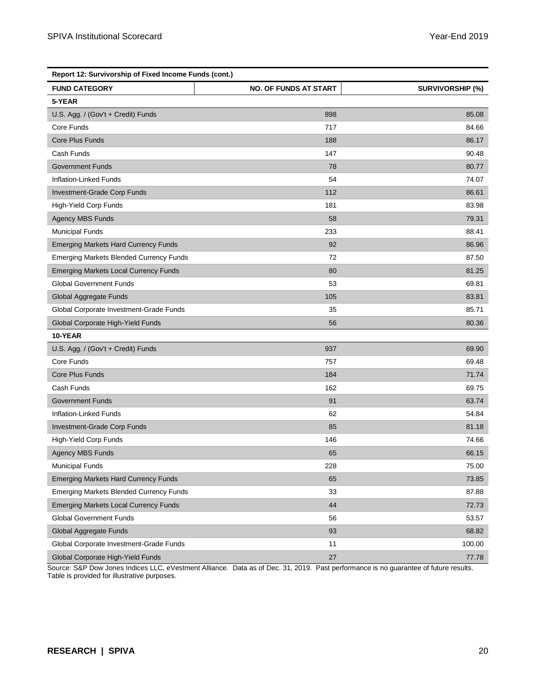| Report 12: Survivorship of Fixed Income Funds (cont.) |                              |                         |  |  |
|-------------------------------------------------------|------------------------------|-------------------------|--|--|
| <b>FUND CATEGORY</b>                                  | <b>NO. OF FUNDS AT START</b> | <b>SURVIVORSHIP (%)</b> |  |  |
| 5-YEAR                                                |                              |                         |  |  |
| U.S. Agg. / (Gov't + Credit) Funds                    | 898                          | 85.08                   |  |  |
| Core Funds                                            | 717                          | 84.66                   |  |  |
| Core Plus Funds                                       | 188                          | 86.17                   |  |  |
| Cash Funds                                            | 147                          | 90.48                   |  |  |
| <b>Government Funds</b>                               | 78                           | 80.77                   |  |  |
| Inflation-Linked Funds                                | 54                           | 74.07                   |  |  |
| Investment-Grade Corp Funds                           | 112                          | 86.61                   |  |  |
| High-Yield Corp Funds                                 | 181                          | 83.98                   |  |  |
| <b>Agency MBS Funds</b>                               | 58                           | 79.31                   |  |  |
| <b>Municipal Funds</b>                                | 233                          | 88.41                   |  |  |
| <b>Emerging Markets Hard Currency Funds</b>           | 92                           | 86.96                   |  |  |
| <b>Emerging Markets Blended Currency Funds</b>        | 72                           | 87.50                   |  |  |
| <b>Emerging Markets Local Currency Funds</b>          | 80                           | 81.25                   |  |  |
| <b>Global Government Funds</b>                        | 53                           | 69.81                   |  |  |
| Global Aggregate Funds                                | 105                          | 83.81                   |  |  |
| Global Corporate Investment-Grade Funds               | 35                           | 85.71                   |  |  |
| Global Corporate High-Yield Funds                     | 56                           | 80.36                   |  |  |
| 10-YEAR                                               |                              |                         |  |  |
| U.S. Agg. / (Gov't + Credit) Funds                    | 937                          | 69.90                   |  |  |
| Core Funds                                            | 757                          | 69.48                   |  |  |
| Core Plus Funds                                       | 184                          | 71.74                   |  |  |
| Cash Funds                                            | 162                          | 69.75                   |  |  |
| <b>Government Funds</b>                               | 91                           | 63.74                   |  |  |
| Inflation-Linked Funds                                | 62                           | 54.84                   |  |  |
| Investment-Grade Corp Funds                           | 85                           | 81.18                   |  |  |
| High-Yield Corp Funds                                 | 146                          | 74.66                   |  |  |
| <b>Agency MBS Funds</b>                               | 65                           | 66.15                   |  |  |
| <b>Municipal Funds</b>                                | 228                          | 75.00                   |  |  |
| <b>Emerging Markets Hard Currency Funds</b>           | 65                           | 73.85                   |  |  |
| <b>Emerging Markets Blended Currency Funds</b>        | 33                           | 87.88                   |  |  |
| <b>Emerging Markets Local Currency Funds</b>          | 44                           | 72.73                   |  |  |
| <b>Global Government Funds</b>                        | 56                           | 53.57                   |  |  |
| Global Aggregate Funds                                | 93                           | 68.82                   |  |  |
| Global Corporate Investment-Grade Funds               | 11                           | 100.00                  |  |  |
| Global Corporate High-Yield Funds                     | 27                           | 77.78                   |  |  |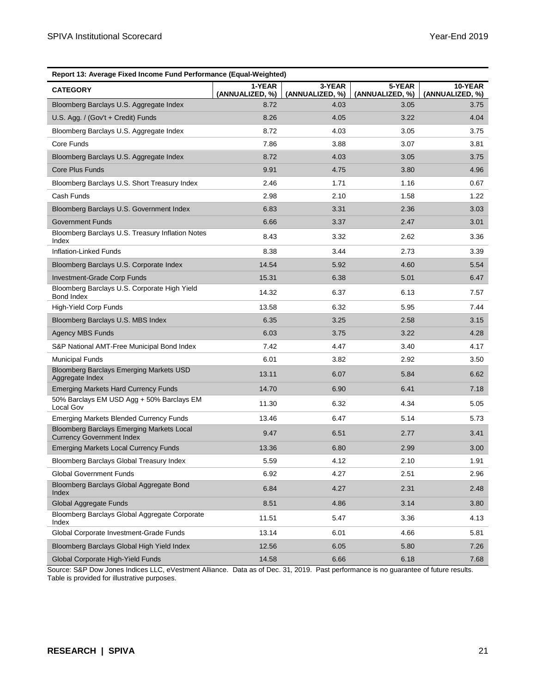| Report 13: Average Fixed Income Fund Performance (Equal-Weighted)                    |                           |                           |                           |                            |  |
|--------------------------------------------------------------------------------------|---------------------------|---------------------------|---------------------------|----------------------------|--|
| <b>CATEGORY</b>                                                                      | 1-YEAR<br>(ANNUALIZED, %) | 3-YEAR<br>(ANNUALIZED, %) | 5-YEAR<br>(ANNUALIZED, %) | 10-YEAR<br>(ANNUALIZED, %) |  |
| Bloomberg Barclays U.S. Aggregate Index                                              | 8.72                      | 4.03                      | 3.05                      | 3.75                       |  |
| U.S. Agg. / (Gov't + Credit) Funds                                                   | 8.26                      | 4.05                      | 3.22                      | 4.04                       |  |
| Bloomberg Barclays U.S. Aggregate Index                                              | 8.72                      | 4.03                      | 3.05                      | 3.75                       |  |
| Core Funds                                                                           | 7.86                      | 3.88                      | 3.07                      | 3.81                       |  |
| Bloomberg Barclays U.S. Aggregate Index                                              | 8.72                      | 4.03                      | 3.05                      | 3.75                       |  |
| <b>Core Plus Funds</b>                                                               | 9.91                      | 4.75                      | 3.80                      | 4.96                       |  |
| Bloomberg Barclays U.S. Short Treasury Index                                         | 2.46                      | 1.71                      | 1.16                      | 0.67                       |  |
| Cash Funds                                                                           | 2.98                      | 2.10                      | 1.58                      | 1.22                       |  |
| Bloomberg Barclays U.S. Government Index                                             | 6.83                      | 3.31                      | 2.36                      | 3.03                       |  |
| <b>Government Funds</b>                                                              | 6.66                      | 3.37                      | 2.47                      | 3.01                       |  |
| Bloomberg Barclays U.S. Treasury Inflation Notes<br>Index                            | 8.43                      | 3.32                      | 2.62                      | 3.36                       |  |
| Inflation-Linked Funds                                                               | 8.38                      | 3.44                      | 2.73                      | 3.39                       |  |
| Bloomberg Barclays U.S. Corporate Index                                              | 14.54                     | 5.92                      | 4.60                      | 5.54                       |  |
| <b>Investment-Grade Corp Funds</b>                                                   | 15.31                     | 6.38                      | 5.01                      | 6.47                       |  |
| Bloomberg Barclays U.S. Corporate High Yield<br>Bond Index                           | 14.32                     | 6.37                      | 6.13                      | 7.57                       |  |
| <b>High-Yield Corp Funds</b>                                                         | 13.58                     | 6.32                      | 5.95                      | 7.44                       |  |
| Bloomberg Barclays U.S. MBS Index                                                    | 6.35                      | 3.25                      | 2.58                      | 3.15                       |  |
| <b>Agency MBS Funds</b>                                                              | 6.03                      | 3.75                      | 3.22                      | 4.28                       |  |
| S&P National AMT-Free Municipal Bond Index                                           | 7.42                      | 4.47                      | 3.40                      | 4.17                       |  |
| <b>Municipal Funds</b>                                                               | 6.01                      | 3.82                      | 2.92                      | 3.50                       |  |
| Bloomberg Barclays Emerging Markets USD<br>Aggregate Index                           | 13.11                     | 6.07                      | 5.84                      | 6.62                       |  |
| <b>Emerging Markets Hard Currency Funds</b>                                          | 14.70                     | 6.90                      | 6.41                      | 7.18                       |  |
| 50% Barclays EM USD Agg + 50% Barclays EM<br>Local Gov                               | 11.30                     | 6.32                      | 4.34                      | 5.05                       |  |
| <b>Emerging Markets Blended Currency Funds</b>                                       | 13.46                     | 6.47                      | 5.14                      | 5.73                       |  |
| <b>Bloomberg Barclays Emerging Markets Local</b><br><b>Currency Government Index</b> | 9.47                      | 6.51                      | 2.77                      | 3.41                       |  |
| <b>Emerging Markets Local Currency Funds</b>                                         | 13.36                     | 6.80                      | 2.99                      | 3.00                       |  |
| Bloomberg Barclays Global Treasury Index                                             | 5.59                      | 4.12                      | 2.10                      | 1.91                       |  |
| Global Government Funds                                                              | 6.92                      | 4.27                      | 2.51                      | 2.96                       |  |
| Bloomberg Barclays Global Aggregate Bond<br>Index                                    | 6.84                      | 4.27                      | 2.31                      | 2.48                       |  |
| Global Aggregate Funds                                                               | 8.51                      | 4.86                      | 3.14                      | 3.80                       |  |
| Bloomberg Barclays Global Aggregate Corporate<br>Index                               | 11.51                     | 5.47                      | 3.36                      | 4.13                       |  |
| Global Corporate Investment-Grade Funds                                              | 13.14                     | 6.01                      | 4.66                      | 5.81                       |  |
| Bloomberg Barclays Global High Yield Index                                           | 12.56                     | 6.05                      | 5.80                      | 7.26                       |  |
| Global Corporate High-Yield Funds                                                    | 14.58                     | 6.66                      | 6.18                      | 7.68                       |  |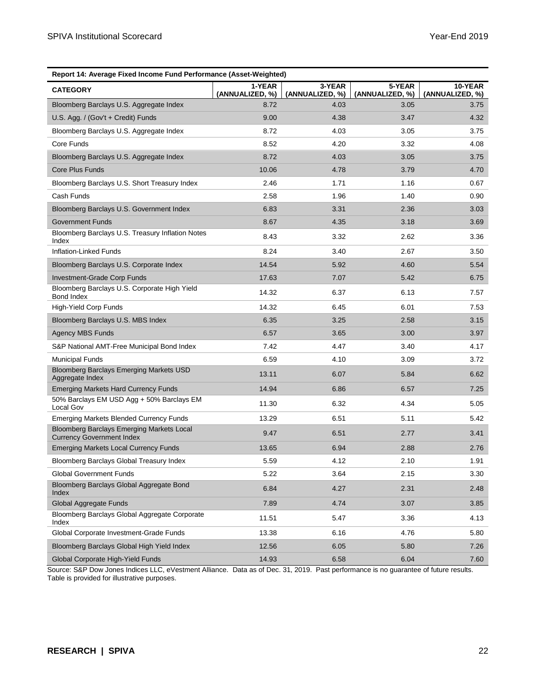| Report 14: Average Fixed Income Fund Performance (Asset-Weighted)             |                           |                           |                           |                            |  |
|-------------------------------------------------------------------------------|---------------------------|---------------------------|---------------------------|----------------------------|--|
| <b>CATEGORY</b>                                                               | 1-YEAR<br>(ANNUALIZED, %) | 3-YEAR<br>(ANNUALIZED, %) | 5-YEAR<br>(ANNUALIZED, %) | 10-YEAR<br>(ANNUALIZED, %) |  |
| Bloomberg Barclays U.S. Aggregate Index                                       | 8.72                      | 4.03                      | 3.05                      | 3.75                       |  |
| U.S. Agg. / (Gov't + Credit) Funds                                            | 9.00                      | 4.38                      | 3.47                      | 4.32                       |  |
| Bloomberg Barclays U.S. Aggregate Index                                       | 8.72                      | 4.03                      | 3.05                      | 3.75                       |  |
| Core Funds                                                                    | 8.52                      | 4.20                      | 3.32                      | 4.08                       |  |
| Bloomberg Barclays U.S. Aggregate Index                                       | 8.72                      | 4.03                      | 3.05                      | 3.75                       |  |
| <b>Core Plus Funds</b>                                                        | 10.06                     | 4.78                      | 3.79                      | 4.70                       |  |
| Bloomberg Barclays U.S. Short Treasury Index                                  | 2.46                      | 1.71                      | 1.16                      | 0.67                       |  |
| Cash Funds                                                                    | 2.58                      | 1.96                      | 1.40                      | 0.90                       |  |
| Bloomberg Barclays U.S. Government Index                                      | 6.83                      | 3.31                      | 2.36                      | 3.03                       |  |
| <b>Government Funds</b>                                                       | 8.67                      | 4.35                      | 3.18                      | 3.69                       |  |
| Bloomberg Barclays U.S. Treasury Inflation Notes<br>Index                     | 8.43                      | 3.32                      | 2.62                      | 3.36                       |  |
| Inflation-Linked Funds                                                        | 8.24                      | 3.40                      | 2.67                      | 3.50                       |  |
| Bloomberg Barclays U.S. Corporate Index                                       | 14.54                     | 5.92                      | 4.60                      | 5.54                       |  |
| <b>Investment-Grade Corp Funds</b>                                            | 17.63                     | 7.07                      | 5.42                      | 6.75                       |  |
| Bloomberg Barclays U.S. Corporate High Yield<br>Bond Index                    | 14.32                     | 6.37                      | 6.13                      | 7.57                       |  |
| <b>High-Yield Corp Funds</b>                                                  | 14.32                     | 6.45                      | 6.01                      | 7.53                       |  |
| Bloomberg Barclays U.S. MBS Index                                             | 6.35                      | 3.25                      | 2.58                      | 3.15                       |  |
| <b>Agency MBS Funds</b>                                                       | 6.57                      | 3.65                      | 3.00                      | 3.97                       |  |
| S&P National AMT-Free Municipal Bond Index                                    | 7.42                      | 4.47                      | 3.40                      | 4.17                       |  |
| <b>Municipal Funds</b>                                                        | 6.59                      | 4.10                      | 3.09                      | 3.72                       |  |
| Bloomberg Barclays Emerging Markets USD<br>Aggregate Index                    | 13.11                     | 6.07                      | 5.84                      | 6.62                       |  |
| <b>Emerging Markets Hard Currency Funds</b>                                   | 14.94                     | 6.86                      | 6.57                      | 7.25                       |  |
| 50% Barclays EM USD Agg + 50% Barclays EM<br>Local Gov                        | 11.30                     | 6.32                      | 4.34                      | 5.05                       |  |
| <b>Emerging Markets Blended Currency Funds</b>                                | 13.29                     | 6.51                      | 5.11                      | 5.42                       |  |
| Bloomberg Barclays Emerging Markets Local<br><b>Currency Government Index</b> | 9.47                      | 6.51                      | 2.77                      | 3.41                       |  |
| <b>Emerging Markets Local Currency Funds</b>                                  | 13.65                     | 6.94                      | 2.88                      | 2.76                       |  |
| Bloomberg Barclays Global Treasury Index                                      | 5.59                      | 4.12                      | 2.10                      | 1.91                       |  |
| Global Government Funds                                                       | 5.22                      | 3.64                      | 2.15                      | 3.30                       |  |
| Bloomberg Barclays Global Aggregate Bond<br>Index                             | 6.84                      | 4.27                      | 2.31                      | 2.48                       |  |
| Global Aggregate Funds                                                        | 7.89                      | 4.74                      | 3.07                      | 3.85                       |  |
| Bloomberg Barclays Global Aggregate Corporate<br>Index                        | 11.51                     | 5.47                      | 3.36                      | 4.13                       |  |
| Global Corporate Investment-Grade Funds                                       | 13.38                     | 6.16                      | 4.76                      | 5.80                       |  |
| Bloomberg Barclays Global High Yield Index                                    | 12.56                     | 6.05                      | 5.80                      | 7.26                       |  |
| Global Corporate High-Yield Funds                                             | 14.93                     | 6.58                      | 6.04                      | 7.60                       |  |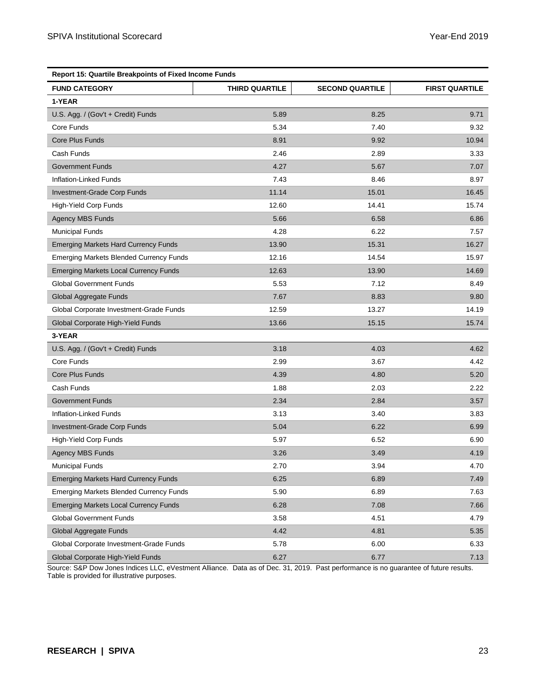| <b>Report 15: Quartile Breakpoints of Fixed Income Funds</b> |                |                        |                       |  |
|--------------------------------------------------------------|----------------|------------------------|-----------------------|--|
| <b>FUND CATEGORY</b>                                         | THIRD QUARTILE | <b>SECOND QUARTILE</b> | <b>FIRST QUARTILE</b> |  |
| 1-YEAR                                                       |                |                        |                       |  |
| U.S. Agg. / (Gov't + Credit) Funds                           | 5.89           | 8.25                   | 9.71                  |  |
| Core Funds                                                   | 5.34           | 7.40                   | 9.32                  |  |
| Core Plus Funds                                              | 8.91           | 9.92                   | 10.94                 |  |
| Cash Funds                                                   | 2.46           | 2.89                   | 3.33                  |  |
| <b>Government Funds</b>                                      | 4.27           | 5.67                   | 7.07                  |  |
| Inflation-Linked Funds                                       | 7.43           | 8.46                   | 8.97                  |  |
| Investment-Grade Corp Funds                                  | 11.14          | 15.01                  | 16.45                 |  |
| High-Yield Corp Funds                                        | 12.60          | 14.41                  | 15.74                 |  |
| <b>Agency MBS Funds</b>                                      | 5.66           | 6.58                   | 6.86                  |  |
| <b>Municipal Funds</b>                                       | 4.28           | 6.22                   | 7.57                  |  |
| <b>Emerging Markets Hard Currency Funds</b>                  | 13.90          | 15.31                  | 16.27                 |  |
| <b>Emerging Markets Blended Currency Funds</b>               | 12.16          | 14.54                  | 15.97                 |  |
| <b>Emerging Markets Local Currency Funds</b>                 | 12.63          | 13.90                  | 14.69                 |  |
| <b>Global Government Funds</b>                               | 5.53           | 7.12                   | 8.49                  |  |
| Global Aggregate Funds                                       | 7.67           | 8.83                   | 9.80                  |  |
| Global Corporate Investment-Grade Funds                      | 12.59          | 13.27                  | 14.19                 |  |
| Global Corporate High-Yield Funds                            | 13.66          | 15.15                  | 15.74                 |  |
| 3-YEAR                                                       |                |                        |                       |  |
| U.S. Agg. / (Gov't + Credit) Funds                           | 3.18           | 4.03                   | 4.62                  |  |
| Core Funds                                                   | 2.99           | 3.67                   | 4.42                  |  |
| Core Plus Funds                                              | 4.39           | 4.80                   | 5.20                  |  |
| Cash Funds                                                   | 1.88           | 2.03                   | 2.22                  |  |
| <b>Government Funds</b>                                      | 2.34           | 2.84                   | 3.57                  |  |
| Inflation-Linked Funds                                       | 3.13           | 3.40                   | 3.83                  |  |
| Investment-Grade Corp Funds                                  | 5.04           | 6.22                   | 6.99                  |  |
| High-Yield Corp Funds                                        | 5.97           | 6.52                   | 6.90                  |  |
| <b>Agency MBS Funds</b>                                      | 3.26           | 3.49                   | 4.19                  |  |
| <b>Municipal Funds</b>                                       | 2.70           | 3.94                   | 4.70                  |  |
| <b>Emerging Markets Hard Currency Funds</b>                  | 6.25           | 6.89                   | 7.49                  |  |
| <b>Emerging Markets Blended Currency Funds</b>               | 5.90           | 6.89                   | 7.63                  |  |
| <b>Emerging Markets Local Currency Funds</b>                 | 6.28           | 7.08                   | 7.66                  |  |
| <b>Global Government Funds</b>                               | 3.58           | 4.51                   | 4.79                  |  |
| Global Aggregate Funds                                       | 4.42           | 4.81                   | 5.35                  |  |
| Global Corporate Investment-Grade Funds                      | 5.78           | 6.00                   | 6.33                  |  |
| Global Corporate High-Yield Funds                            | 6.27           | 6.77                   | 7.13                  |  |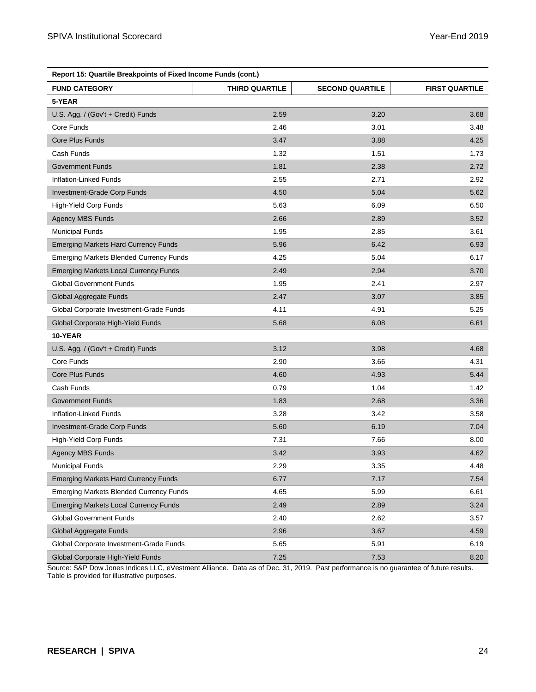| Report 15: Quartile Breakpoints of Fixed Income Funds (cont.) |                |                        |                       |
|---------------------------------------------------------------|----------------|------------------------|-----------------------|
| <b>FUND CATEGORY</b>                                          | THIRD QUARTILE | <b>SECOND QUARTILE</b> | <b>FIRST QUARTILE</b> |
| 5-YEAR                                                        |                |                        |                       |
| U.S. Agg. / (Gov't + Credit) Funds                            | 2.59           | 3.20                   | 3.68                  |
| Core Funds                                                    | 2.46           | 3.01                   | 3.48                  |
| Core Plus Funds                                               | 3.47           | 3.88                   | 4.25                  |
| Cash Funds                                                    | 1.32           | 1.51                   | 1.73                  |
| <b>Government Funds</b>                                       | 1.81           | 2.38                   | 2.72                  |
| Inflation-Linked Funds                                        | 2.55           | 2.71                   | 2.92                  |
| Investment-Grade Corp Funds                                   | 4.50           | 5.04                   | 5.62                  |
| High-Yield Corp Funds                                         | 5.63           | 6.09                   | 6.50                  |
| <b>Agency MBS Funds</b>                                       | 2.66           | 2.89                   | 3.52                  |
| <b>Municipal Funds</b>                                        | 1.95           | 2.85                   | 3.61                  |
| <b>Emerging Markets Hard Currency Funds</b>                   | 5.96           | 6.42                   | 6.93                  |
| <b>Emerging Markets Blended Currency Funds</b>                | 4.25           | 5.04                   | 6.17                  |
| <b>Emerging Markets Local Currency Funds</b>                  | 2.49           | 2.94                   | 3.70                  |
| <b>Global Government Funds</b>                                | 1.95           | 2.41                   | 2.97                  |
| Global Aggregate Funds                                        | 2.47           | 3.07                   | 3.85                  |
| Global Corporate Investment-Grade Funds                       | 4.11           | 4.91                   | 5.25                  |
| Global Corporate High-Yield Funds                             | 5.68           | 6.08                   | 6.61                  |
| 10-YEAR                                                       |                |                        |                       |
| U.S. Agg. / (Gov't + Credit) Funds                            | 3.12           | 3.98                   | 4.68                  |
| Core Funds                                                    | 2.90           | 3.66                   | 4.31                  |
| Core Plus Funds                                               | 4.60           | 4.93                   | 5.44                  |
| Cash Funds                                                    | 0.79           | 1.04                   | 1.42                  |
| <b>Government Funds</b>                                       | 1.83           | 2.68                   | 3.36                  |
| Inflation-Linked Funds                                        | 3.28           | 3.42                   | 3.58                  |
| Investment-Grade Corp Funds                                   | 5.60           | 6.19                   | 7.04                  |
| <b>High-Yield Corp Funds</b>                                  | 7.31           | 7.66                   | 8.00                  |
| <b>Agency MBS Funds</b>                                       | 3.42           | 3.93                   | 4.62                  |
| <b>Municipal Funds</b>                                        | 2.29           | 3.35                   | 4.48                  |
| <b>Emerging Markets Hard Currency Funds</b>                   | 6.77           | 7.17                   | 7.54                  |
| <b>Emerging Markets Blended Currency Funds</b>                | 4.65           | 5.99                   | 6.61                  |
| <b>Emerging Markets Local Currency Funds</b>                  | 2.49           | 2.89                   | 3.24                  |
| <b>Global Government Funds</b>                                | 2.40           | 2.62                   | 3.57                  |
| Global Aggregate Funds                                        | 2.96           | 3.67                   | 4.59                  |
| Global Corporate Investment-Grade Funds                       | 5.65           | 5.91                   | 6.19                  |
| Global Corporate High-Yield Funds                             | 7.25           | 7.53                   | 8.20                  |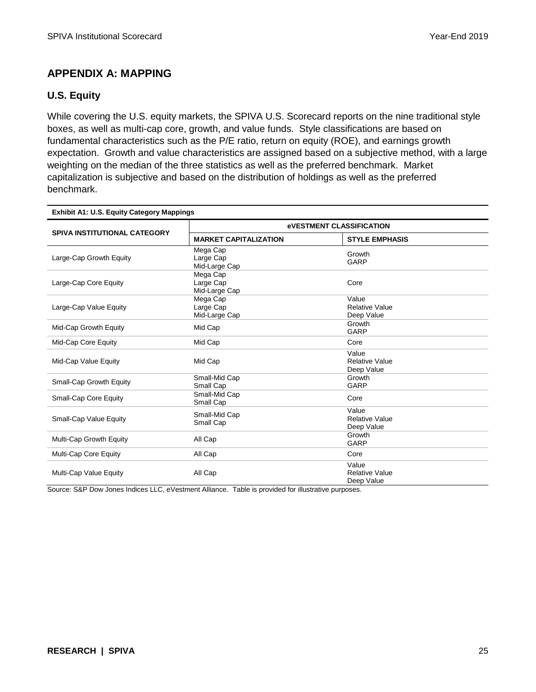# **APPENDIX A: MAPPING**

# **U.S. Equity**

While covering the U.S. equity markets, the SPIVA U.S. Scorecard reports on the nine traditional style boxes, as well as multi-cap core, growth, and value funds. Style classifications are based on fundamental characteristics such as the P/E ratio, return on equity (ROE), and earnings growth expectation. Growth and value characteristics are assigned based on a subjective method, with a large weighting on the median of the three statistics as well as the preferred benchmark. Market capitalization is subjective and based on the distribution of holdings as well as the preferred benchmark.

| <b>Exhibit A1: U.S. Equity Category Mappings</b> |                                        |                                              |  |  |
|--------------------------------------------------|----------------------------------------|----------------------------------------------|--|--|
|                                                  | <b>eVESTMENT CLASSIFICATION</b>        |                                              |  |  |
| <b>SPIVA INSTITUTIONAL CATEGORY</b>              | <b>MARKET CAPITALIZATION</b>           | <b>STYLE EMPHASIS</b>                        |  |  |
| Large-Cap Growth Equity                          | Mega Cap<br>Large Cap<br>Mid-Large Cap | Growth<br><b>GARP</b>                        |  |  |
| Large-Cap Core Equity                            | Mega Cap<br>Large Cap<br>Mid-Large Cap | Core                                         |  |  |
| Large-Cap Value Equity                           | Mega Cap<br>Large Cap<br>Mid-Large Cap | Value<br><b>Relative Value</b><br>Deep Value |  |  |
| Mid-Cap Growth Equity                            | Mid Cap                                | Growth<br>GARP                               |  |  |
| Mid-Cap Core Equity                              | Mid Cap                                | Core                                         |  |  |
| Mid-Cap Value Equity                             | Mid Cap                                | Value<br><b>Relative Value</b><br>Deep Value |  |  |
| Small-Cap Growth Equity                          | Small-Mid Cap<br>Small Cap             | Growth<br>GARP                               |  |  |
| Small-Cap Core Equity                            | Small-Mid Cap<br>Small Cap             | Core                                         |  |  |
| Small-Cap Value Equity                           | Small-Mid Cap<br>Small Cap             | Value<br><b>Relative Value</b><br>Deep Value |  |  |
| Multi-Cap Growth Equity                          | All Cap                                | Growth<br><b>GARP</b>                        |  |  |
| Multi-Cap Core Equity                            | All Cap                                | Core                                         |  |  |
| Multi-Cap Value Equity                           | All Cap                                | Value<br><b>Relative Value</b><br>Deep Value |  |  |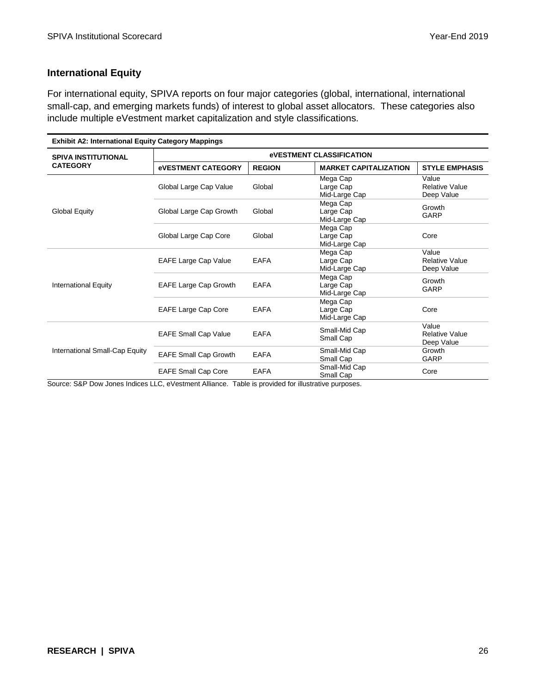# **International Equity**

For international equity, SPIVA reports on four major categories (global, international, international small-cap, and emerging markets funds) of interest to global asset allocators. These categories also include multiple eVestment market capitalization and style classifications.

| <b>Exhibit A2: International Equity Category Mappings</b> |                                 |               |                                        |                                              |  |
|-----------------------------------------------------------|---------------------------------|---------------|----------------------------------------|----------------------------------------------|--|
| <b>SPIVA INSTITUTIONAL</b>                                | <b>eVESTMENT CLASSIFICATION</b> |               |                                        |                                              |  |
| <b>CATEGORY</b>                                           | <b>eVESTMENT CATEGORY</b>       | <b>REGION</b> | <b>MARKET CAPITALIZATION</b>           | <b>STYLE EMPHASIS</b>                        |  |
| <b>Global Equity</b>                                      | Global Large Cap Value          | Global        | Mega Cap<br>Large Cap<br>Mid-Large Cap | Value<br><b>Relative Value</b><br>Deep Value |  |
|                                                           | Global Large Cap Growth         | Global        | Mega Cap<br>Large Cap<br>Mid-Large Cap | Growth<br>GARP                               |  |
|                                                           | Global Large Cap Core           | Global        | Mega Cap<br>Large Cap<br>Mid-Large Cap | Core                                         |  |
| <b>International Equity</b>                               | <b>EAFE Large Cap Value</b>     | <b>EAFA</b>   | Mega Cap<br>Large Cap<br>Mid-Large Cap | Value<br><b>Relative Value</b><br>Deep Value |  |
|                                                           | <b>EAFE Large Cap Growth</b>    | <b>EAFA</b>   | Mega Cap<br>Large Cap<br>Mid-Large Cap | Growth<br>GARP                               |  |
|                                                           | <b>EAFE Large Cap Core</b>      | <b>EAFA</b>   | Mega Cap<br>Large Cap<br>Mid-Large Cap | Core                                         |  |
| International Small-Cap Equity                            | <b>EAFE Small Cap Value</b>     | <b>EAFA</b>   | Small-Mid Cap<br>Small Cap             | Value<br><b>Relative Value</b><br>Deep Value |  |
|                                                           | <b>EAFE Small Cap Growth</b>    | <b>EAFA</b>   | Small-Mid Cap<br>Small Cap             | Growth<br>GARP                               |  |
|                                                           | <b>EAFE Small Cap Core</b>      | <b>EAFA</b>   | Small-Mid Cap<br>Small Cap             | Core                                         |  |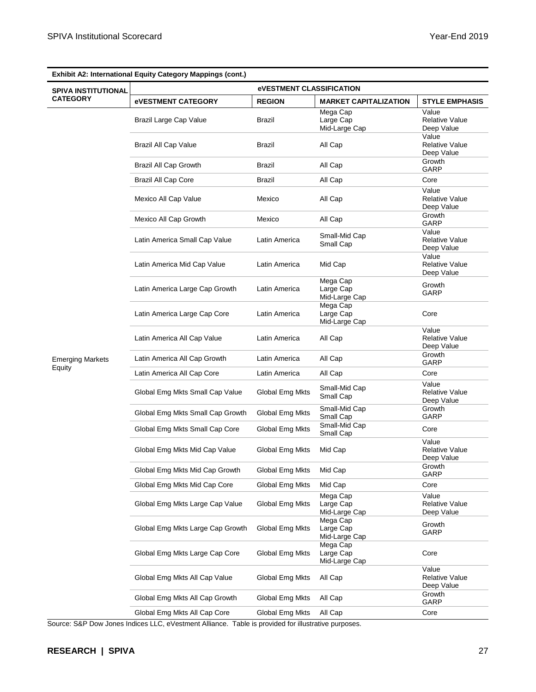|                            | <b>Exhibit A2: International Equity Category Mappings (cont.)</b> |                 |                                        |                                              |  |
|----------------------------|-------------------------------------------------------------------|-----------------|----------------------------------------|----------------------------------------------|--|
| <b>SPIVA INSTITUTIONAL</b> | <b><i><u>EVESTMENT CLASSIFICATION</u></i></b>                     |                 |                                        |                                              |  |
| <b>CATEGORY</b>            | <b>eVESTMENT CATEGORY</b>                                         | <b>REGION</b>   | <b>MARKET CAPITALIZATION</b>           | <b>STYLE EMPHASIS</b>                        |  |
|                            | Brazil Large Cap Value                                            | Brazil          | Mega Cap<br>Large Cap<br>Mid-Large Cap | Value<br><b>Relative Value</b><br>Deep Value |  |
|                            | <b>Brazil All Cap Value</b>                                       | Brazil          | All Cap                                | Value<br><b>Relative Value</b><br>Deep Value |  |
|                            | <b>Brazil All Cap Growth</b>                                      | Brazil          | All Cap                                | Growth<br>GARP                               |  |
|                            | <b>Brazil All Cap Core</b>                                        | Brazil          | All Cap                                | Core                                         |  |
|                            | Mexico All Cap Value                                              | Mexico          | All Cap                                | Value<br><b>Relative Value</b><br>Deep Value |  |
|                            | Mexico All Cap Growth                                             | Mexico          | All Cap                                | Growth<br>GARP                               |  |
|                            | Latin America Small Cap Value                                     | Latin America   | Small-Mid Cap<br>Small Cap             | Value<br><b>Relative Value</b><br>Deep Value |  |
|                            | Latin America Mid Cap Value                                       | Latin America   | Mid Cap                                | Value<br><b>Relative Value</b><br>Deep Value |  |
|                            | Latin America Large Cap Growth                                    | Latin America   | Mega Cap<br>Large Cap<br>Mid-Large Cap | Growth<br>GARP                               |  |
|                            | Latin America Large Cap Core                                      | Latin America   | Mega Cap<br>Large Cap<br>Mid-Large Cap | Core                                         |  |
|                            | Latin America All Cap Value                                       | Latin America   | All Cap                                | Value<br><b>Relative Value</b><br>Deep Value |  |
| <b>Emerging Markets</b>    | Latin America All Cap Growth                                      | Latin America   | All Cap                                | Growth<br>GARP                               |  |
| Equity                     | Latin America All Cap Core                                        | Latin America   | All Cap                                | Core                                         |  |
|                            | Global Emg Mkts Small Cap Value                                   | Global Emg Mkts | Small-Mid Cap<br>Small Cap             | Value<br><b>Relative Value</b><br>Deep Value |  |
|                            | Global Emg Mkts Small Cap Growth                                  | Global Emg Mkts | Small-Mid Cap<br>Small Cap             | Growth<br>GARP                               |  |
|                            | Global Emg Mkts Small Cap Core                                    | Global Emg Mkts | Small-Mid Cap<br>Small Cap             | Core                                         |  |
|                            | Global Emg Mkts Mid Cap Value                                     | Global Emg Mkts | Mid Cap                                | Value<br><b>Relative Value</b><br>Deep Value |  |
|                            | Global Emg Mkts Mid Cap Growth                                    | Global Emg Mkts | Mid Cap                                | Growth<br>GARP                               |  |
|                            | Global Emg Mkts Mid Cap Core                                      | Global Emg Mkts | Mid Cap                                | Core                                         |  |
|                            | Global Emg Mkts Large Cap Value                                   | Global Emg Mkts | Mega Cap<br>Large Cap<br>Mid-Large Cap | Value<br><b>Relative Value</b><br>Deep Value |  |
|                            | Global Emg Mkts Large Cap Growth                                  | Global Emg Mkts | Mega Cap<br>Large Cap<br>Mid-Large Cap | Growth<br>GARP                               |  |
|                            | Global Emg Mkts Large Cap Core                                    | Global Emg Mkts | Mega Cap<br>Large Cap<br>Mid-Large Cap | Core                                         |  |
|                            | Global Emg Mkts All Cap Value                                     |                 | All Cap                                | Value<br><b>Relative Value</b><br>Deep Value |  |
|                            | Global Emg Mkts All Cap Growth                                    | Global Emg Mkts | All Cap                                | Growth<br>GARP                               |  |
|                            | Global Emg Mkts All Cap Core                                      | Global Emg Mkts | All Cap                                | Core                                         |  |

**Exhibit A2: International Equity Category Mappings (cont.)**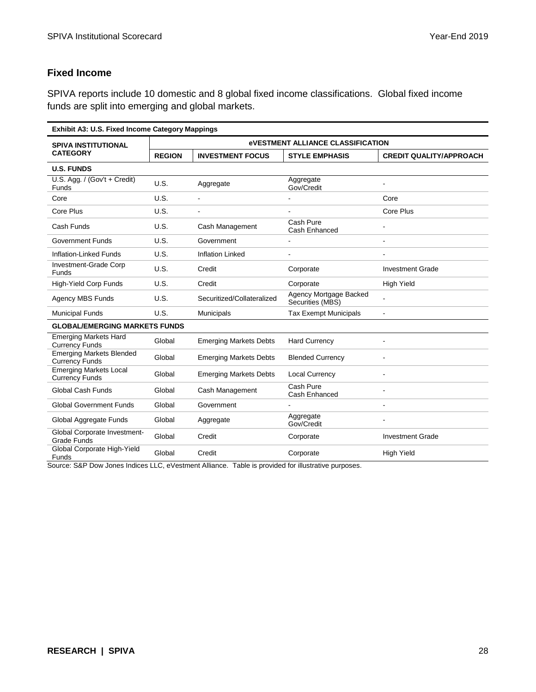# **Fixed Income**

SPIVA reports include 10 domestic and 8 global fixed income classifications. Global fixed income funds are split into emerging and global markets.

| <b>Exhibit A3: U.S. Fixed Income Category Mappings</b>   |                                                        |                               |                                            |                                |
|----------------------------------------------------------|--------------------------------------------------------|-------------------------------|--------------------------------------------|--------------------------------|
| <b>SPIVA INSTITUTIONAL</b>                               | <b><i><u>EVESTMENT ALLIANCE CLASSIFICATION</u></i></b> |                               |                                            |                                |
| <b>CATEGORY</b>                                          | <b>REGION</b>                                          | <b>INVESTMENT FOCUS</b>       | <b>STYLE EMPHASIS</b>                      | <b>CREDIT QUALITY/APPROACH</b> |
| <b>U.S. FUNDS</b>                                        |                                                        |                               |                                            |                                |
| U.S. Agg. / (Gov't + Credit)<br><b>Funds</b>             | U.S.                                                   | Aggregate                     | Aggregate<br>Gov/Credit                    |                                |
| Core                                                     | U.S.                                                   | $\overline{a}$                |                                            | Core                           |
| Core Plus                                                | U.S.                                                   |                               |                                            | Core Plus                      |
| Cash Funds                                               | U.S.                                                   | Cash Management               | Cash Pure<br>Cash Enhanced                 |                                |
| <b>Government Funds</b>                                  | U.S.                                                   | Government                    | ٠                                          | ä,                             |
| Inflation-Linked Funds                                   | U.S.                                                   | <b>Inflation Linked</b>       | ۰                                          |                                |
| Investment-Grade Corp<br><b>Funds</b>                    | U.S.                                                   | Credit                        | Corporate                                  | <b>Investment Grade</b>        |
| High-Yield Corp Funds                                    | U.S.                                                   | Credit                        | Corporate                                  | <b>High Yield</b>              |
| Agency MBS Funds                                         | U.S.                                                   | Securitized/Collateralized    | Agency Mortgage Backed<br>Securities (MBS) | ä,                             |
| <b>Municipal Funds</b>                                   | U.S.                                                   | <b>Municipals</b>             | <b>Tax Exempt Municipals</b>               | ä,                             |
| <b>GLOBAL/EMERGING MARKETS FUNDS</b>                     |                                                        |                               |                                            |                                |
| <b>Emerging Markets Hard</b><br><b>Currency Funds</b>    | Global                                                 | <b>Emerging Markets Debts</b> | <b>Hard Currency</b>                       | $\overline{a}$                 |
| <b>Emerging Markets Blended</b><br><b>Currency Funds</b> | Global                                                 | <b>Emerging Markets Debts</b> | <b>Blended Currency</b>                    | $\blacksquare$                 |
| <b>Emerging Markets Local</b><br><b>Currency Funds</b>   | Global                                                 | <b>Emerging Markets Debts</b> | <b>Local Currency</b>                      |                                |
| <b>Global Cash Funds</b>                                 | Global                                                 | Cash Management               | Cash Pure<br>Cash Enhanced                 | ä,                             |
| <b>Global Government Funds</b>                           | Global                                                 | Government                    |                                            | ä,                             |
| Global Aggregate Funds                                   | Global                                                 | Aggregate                     | Aggregate<br>Gov/Credit                    | $\blacksquare$                 |
| Global Corporate Investment-<br><b>Grade Funds</b>       | Global                                                 | Credit                        | Corporate                                  | <b>Investment Grade</b>        |
| Global Corporate High-Yield<br><b>Funds</b>              | Global                                                 | Credit                        | Corporate                                  | <b>High Yield</b>              |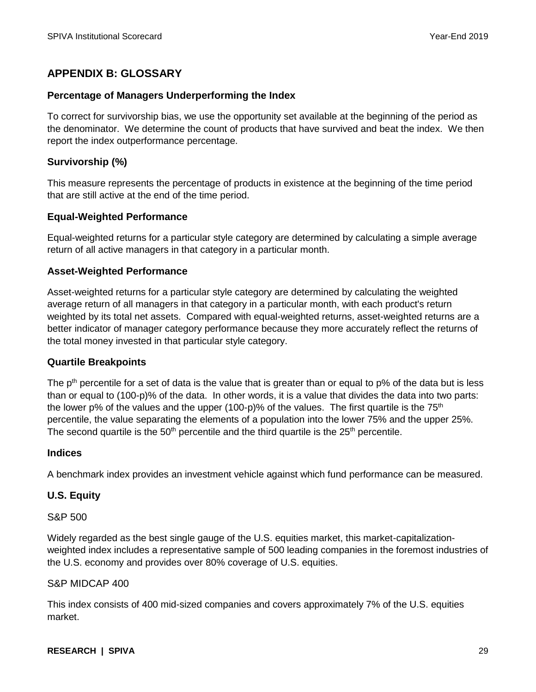# **APPENDIX B: GLOSSARY**

#### **Percentage of Managers Underperforming the Index**

To correct for survivorship bias, we use the opportunity set available at the beginning of the period as the denominator. We determine the count of products that have survived and beat the index. We then report the index outperformance percentage.

#### **Survivorship (%)**

This measure represents the percentage of products in existence at the beginning of the time period that are still active at the end of the time period.

#### **Equal-Weighted Performance**

Equal-weighted returns for a particular style category are determined by calculating a simple average return of all active managers in that category in a particular month.

#### **Asset-Weighted Performance**

Asset-weighted returns for a particular style category are determined by calculating the weighted average return of all managers in that category in a particular month, with each product's return weighted by its total net assets. Compared with equal-weighted returns, asset-weighted returns are a better indicator of manager category performance because they more accurately reflect the returns of the total money invested in that particular style category.

#### **Quartile Breakpoints**

The  $p<sup>th</sup>$  percentile for a set of data is the value that is greater than or equal to  $p\%$  of the data but is less than or equal to (100-p)% of the data. In other words, it is a value that divides the data into two parts: the lower p% of the values and the upper (100-p)% of the values. The first quartile is the  $75<sup>th</sup>$ percentile, the value separating the elements of a population into the lower 75% and the upper 25%. The second quartile is the  $50<sup>th</sup>$  percentile and the third quartile is the  $25<sup>th</sup>$  percentile.

#### **Indices**

A benchmark index provides an investment vehicle against which fund performance can be measured.

#### **U.S. Equity**

S&P 500

Widely regarded as the best single gauge of the U.S. equities market, this market-capitalizationweighted index includes a representative sample of 500 leading companies in the foremost industries of the U.S. economy and provides over 80% coverage of U.S. equities.

#### S&P MIDCAP 400

This index consists of 400 mid-sized companies and covers approximately 7% of the U.S. equities market.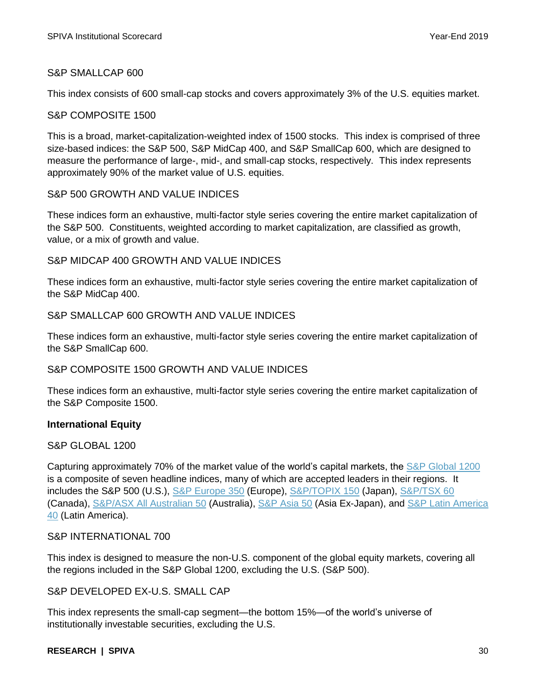# S&P SMALLCAP 600

This index consists of 600 small-cap stocks and covers approximately 3% of the U.S. equities market.

### S&P COMPOSITE 1500

This is a broad, market-capitalization-weighted index of 1500 stocks. This index is comprised of three size-based indices: the S&P 500, S&P MidCap 400, and S&P SmallCap 600, which are designed to measure the performance of large-, mid-, and small-cap stocks, respectively. This index represents approximately 90% of the market value of U.S. equities.

#### S&P 500 GROWTH AND VALUE INDICES

These indices form an exhaustive, multi-factor style series covering the entire market capitalization of the S&P 500. Constituents, weighted according to market capitalization, are classified as growth, value, or a mix of growth and value.

### S&P MIDCAP 400 GROWTH AND VALUE INDICES

These indices form an exhaustive, multi-factor style series covering the entire market capitalization of the S&P MidCap 400.

## S&P SMALLCAP 600 GROWTH AND VALUE INDICES

These indices form an exhaustive, multi-factor style series covering the entire market capitalization of the S&P SmallCap 600.

### S&P COMPOSITE 1500 GROWTH AND VALUE INDICES

These indices form an exhaustive, multi-factor style series covering the entire market capitalization of the S&P Composite 1500.

### **International Equity**

#### S&P GLOBAL 1200

Capturing approximately 70% of the market value of the world's capital markets, the [S&P Global 1200](https://www.spglobal.com/spdji/en/indices/equity/sp-global-1200/#overview) is a composite of seven headline indices, many of which are accepted leaders in their regions. It includes the S&P 500 (U.S.), [S&P Europe 350](https://www.spglobal.com/spdji/en/indices/equity/sp-europe-350/) (Europe), [S&P/TOPIX](http://spdji.com/indices/equity/sp-topix-150) 150 (Japan), [S&P/TSX 60](https://www.spglobal.com/spdji/en/indices/equity/sp-tsx-60-index/) (Canada), [S&P/ASX All Australian 50](https://www.spglobal.com/spdji/en/indices/equity/sp-asx-all-australian-50/) (Australia), [S&P Asia 50](https://www.spglobal.com/spdji/en/indices/equity/sp-asia-50/#overview) (Asia Ex-Japan), and [S&P Latin America](https://www.spglobal.com/spdji/en/indices/equity/sp-latin-america-40/#overview)  [40](https://www.spglobal.com/spdji/en/indices/equity/sp-latin-america-40/#overview) (Latin America).

### S&P INTERNATIONAL 700

This index is designed to measure the non-U.S. component of the global equity markets, covering all the regions included in the S&P Global 1200, excluding the U.S. (S&P 500).

### S&P DEVELOPED EX-U.S. SMALL CAP

This index represents the small-cap segment—the bottom 15%—of the world's universe of institutionally investable securities, excluding the U.S.

#### **RESEARCH | SPIVA** 30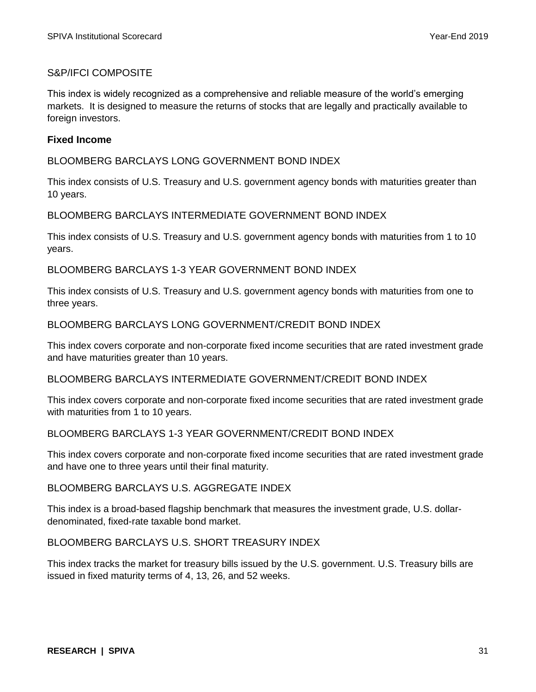# S&P/IFCI COMPOSITE

This index is widely recognized as a comprehensive and reliable measure of the world's emerging markets. It is designed to measure the returns of stocks that are legally and practically available to foreign investors.

## **Fixed Income**

BLOOMBERG BARCLAYS LONG GOVERNMENT BOND INDEX

This index consists of U.S. Treasury and U.S. government agency bonds with maturities greater than 10 years.

BLOOMBERG BARCLAYS INTERMEDIATE GOVERNMENT BOND INDEX

This index consists of U.S. Treasury and U.S. government agency bonds with maturities from 1 to 10 years.

BLOOMBERG BARCLAYS 1-3 YEAR GOVERNMENT BOND INDEX

This index consists of U.S. Treasury and U.S. government agency bonds with maturities from one to three years.

BLOOMBERG BARCLAYS LONG GOVERNMENT/CREDIT BOND INDEX

This index covers corporate and non-corporate fixed income securities that are rated investment grade and have maturities greater than 10 years.

BLOOMBERG BARCLAYS INTERMEDIATE GOVERNMENT/CREDIT BOND INDEX

This index covers corporate and non-corporate fixed income securities that are rated investment grade with maturities from 1 to 10 years.

#### BLOOMBERG BARCLAYS 1-3 YEAR GOVERNMENT/CREDIT BOND INDEX

This index covers corporate and non-corporate fixed income securities that are rated investment grade and have one to three years until their final maturity.

#### BLOOMBERG BARCLAYS U.S. AGGREGATE INDEX

This index is a broad-based flagship benchmark that measures the investment grade, U.S. dollardenominated, fixed-rate taxable bond market.

#### BLOOMBERG BARCLAYS U.S. SHORT TREASURY INDEX

This index tracks the market for treasury bills issued by the U.S. government. U.S. Treasury bills are issued in fixed maturity terms of 4, 13, 26, and 52 weeks.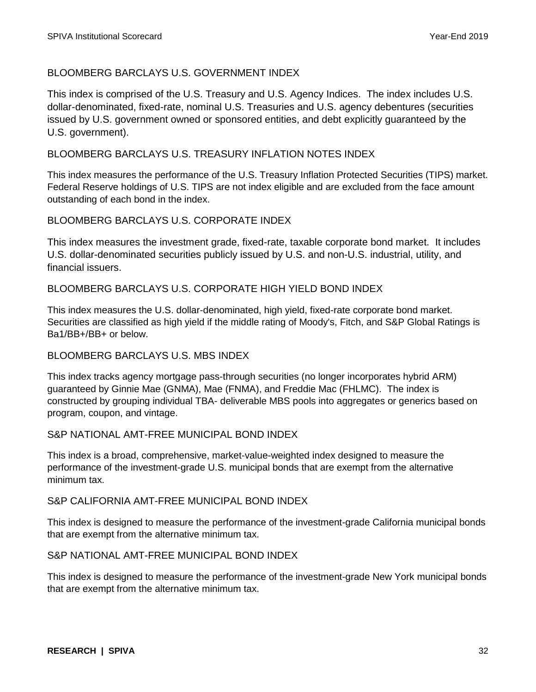# BLOOMBERG BARCLAYS U.S. GOVERNMENT INDEX

This index is comprised of the U.S. Treasury and U.S. Agency Indices. The index includes U.S. dollar-denominated, fixed-rate, nominal U.S. Treasuries and U.S. agency debentures (securities issued by U.S. government owned or sponsored entities, and debt explicitly guaranteed by the U.S. government).

# BLOOMBERG BARCLAYS U.S. TREASURY INFLATION NOTES INDEX

This index measures the performance of the U.S. Treasury Inflation Protected Securities (TIPS) market. Federal Reserve holdings of U.S. TIPS are not index eligible and are excluded from the face amount outstanding of each bond in the index.

# BLOOMBERG BARCLAYS U.S. CORPORATE INDEX

This index measures the investment grade, fixed-rate, taxable corporate bond market. It includes U.S. dollar-denominated securities publicly issued by U.S. and non-U.S. industrial, utility, and financial issuers.

# BLOOMBERG BARCLAYS U.S. CORPORATE HIGH YIELD BOND INDEX

This index measures the U.S. dollar-denominated, high yield, fixed-rate corporate bond market. Securities are classified as high yield if the middle rating of Moody's, Fitch, and S&P Global Ratings is Ba1/BB+/BB+ or below.

### BLOOMBERG BARCLAYS U.S. MBS INDEX

This index tracks agency mortgage pass-through securities (no longer incorporates hybrid ARM) guaranteed by Ginnie Mae (GNMA), Mae (FNMA), and Freddie Mac (FHLMC). The index is constructed by grouping individual TBA- deliverable MBS pools into aggregates or generics based on program, coupon, and vintage.

### S&P NATIONAL AMT-FREE MUNICIPAL BOND INDEX

This index is a broad, comprehensive, market-value-weighted index designed to measure the performance of the investment-grade U.S. municipal bonds that are exempt from the alternative minimum tax.

# S&P CALIFORNIA AMT-FREE MUNICIPAL BOND INDEX

This index is designed to measure the performance of the investment-grade California municipal bonds that are exempt from the alternative minimum tax.

### S&P NATIONAL AMT-FREE MUNICIPAL BOND INDEX

This index is designed to measure the performance of the investment-grade New York municipal bonds that are exempt from the alternative minimum tax.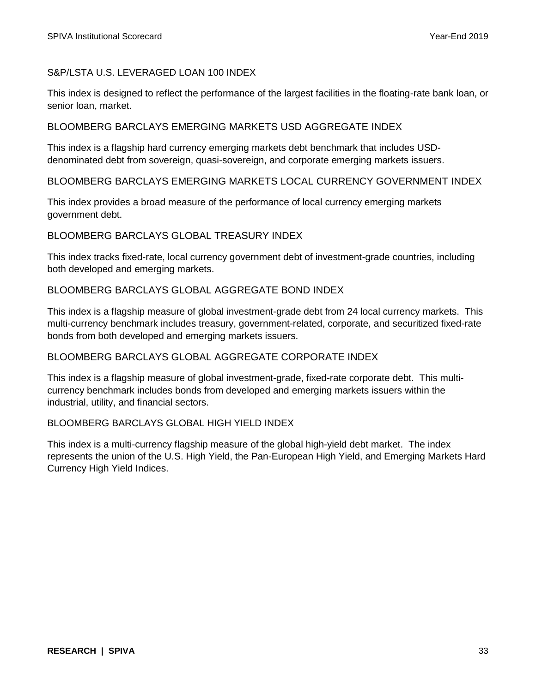# S&P/LSTA U.S. LEVERAGED LOAN 100 INDEX

This index is designed to reflect the performance of the largest facilities in the floating-rate bank loan, or senior loan, market.

## BLOOMBERG BARCLAYS EMERGING MARKETS USD AGGREGATE INDEX

This index is a flagship hard currency emerging markets debt benchmark that includes USDdenominated debt from sovereign, quasi-sovereign, and corporate emerging markets issuers.

# BLOOMBERG BARCLAYS EMERGING MARKETS LOCAL CURRENCY GOVERNMENT INDEX

This index provides a broad measure of the performance of local currency emerging markets government debt.

# BLOOMBERG BARCLAYS GLOBAL TREASURY INDEX

This index tracks fixed-rate, local currency government debt of investment-grade countries, including both developed and emerging markets.

# BLOOMBERG BARCLAYS GLOBAL AGGREGATE BOND INDEX

This index is a flagship measure of global investment-grade debt from 24 local currency markets. This multi-currency benchmark includes treasury, government-related, corporate, and securitized fixed-rate bonds from both developed and emerging markets issuers.

### BLOOMBERG BARCLAYS GLOBAL AGGREGATE CORPORATE INDEX

This index is a flagship measure of global investment-grade, fixed-rate corporate debt. This multicurrency benchmark includes bonds from developed and emerging markets issuers within the industrial, utility, and financial sectors.

## BLOOMBERG BARCLAYS GLOBAL HIGH YIELD INDEX

This index is a multi-currency flagship measure of the global high-yield debt market. The index represents the union of the U.S. High Yield, the Pan-European High Yield, and Emerging Markets Hard Currency High Yield Indices.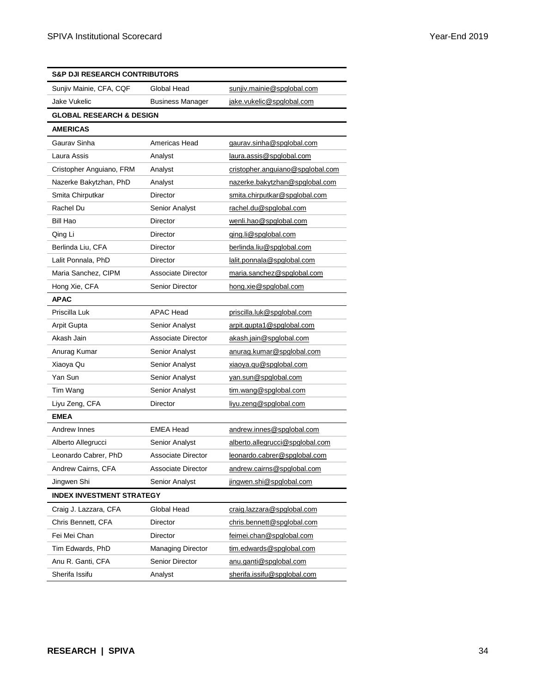| <b>S&amp;P DJI RESEARCH CONTRIBUTORS</b> |                           |                                  |  |
|------------------------------------------|---------------------------|----------------------------------|--|
| Sunjiv Mainie, CFA, CQF                  | Global Head               | sunjiv.mainie@spglobal.com       |  |
| Jake Vukelic                             | <b>Business Manager</b>   | jake.vukelic@spglobal.com        |  |
| <b>GLOBAL RESEARCH &amp; DESIGN</b>      |                           |                                  |  |
| <b>AMERICAS</b>                          |                           |                                  |  |
| Gaurav Sinha                             | Americas Head             | gaurav.sinha@spglobal.com        |  |
| Laura Assis                              | Analyst                   | laura.assis@spglobal.com         |  |
| Cristopher Anguiano, FRM                 | Analyst                   | cristopher.anguiano@spglobal.com |  |
| Nazerke Bakytzhan, PhD                   | Analyst                   | nazerke.bakytzhan@spglobal.com   |  |
| Smita Chirputkar                         | Director                  | smita.chirputkar@spglobal.com    |  |
| Rachel Du                                | Senior Analyst            | rachel.du@spglobal.com           |  |
| <b>Bill Hao</b>                          | <b>Director</b>           | wenli.hao@spglobal.com           |  |
| Qing Li                                  | Director                  | ging.li@spglobal.com             |  |
| Berlinda Liu, CFA                        | <b>Director</b>           | berlinda.liu@spglobal.com        |  |
| Lalit Ponnala, PhD                       | Director                  | lalit.ponnala@spglobal.com       |  |
| Maria Sanchez, CIPM                      | Associate Director        | maria.sanchez@spqlobal.com       |  |
| Hong Xie, CFA                            | <b>Senior Director</b>    | hong.xie@spglobal.com            |  |
| <b>APAC</b>                              |                           |                                  |  |
| Priscilla Luk                            | <b>APAC Head</b>          | priscilla.luk@spglobal.com       |  |
| Arpit Gupta                              | Senior Analyst            | arpit.gupta1@spglobal.com        |  |
| Akash Jain                               | Associate Director        | akash.jain@spglobal.com          |  |
| Anurag Kumar                             | Senior Analyst            | anurag.kumar@spglobal.com        |  |
| Xiaoya Qu                                | Senior Analyst            | xiaoya.qu@spglobal.com           |  |
| Yan Sun                                  | Senior Analyst            | yan.sun@spglobal.com             |  |
| Tim Wang                                 | Senior Analyst            | tim.wang@spglobal.com            |  |
| Liyu Zeng, CFA                           | Director                  | liyu.zeng@spglobal.com           |  |
| <b>EMEA</b>                              |                           |                                  |  |
| Andrew Innes                             | <b>EMEA Head</b>          | andrew.innes@spglobal.com        |  |
| Alberto Allegrucci                       | Senior Analyst            | alberto.allegrucci@spglobal.com  |  |
| Leonardo Cabrer, PhD                     | <b>Associate Director</b> | leonardo.cabrer@spglobal.com     |  |
| Andrew Cairns, CFA                       | Associate Director        | andrew.cairns@spglobal.com       |  |
| Jingwen Shi                              | Senior Analyst            | jingwen.shi@spglobal.com         |  |
| <b>INDEX INVESTMENT STRATEGY</b>         |                           |                                  |  |
| Craig J. Lazzara, CFA                    | Global Head               | craig.lazzara@spglobal.com       |  |
| Chris Bennett, CFA                       | Director                  | chris.bennett@spglobal.com       |  |
| Fei Mei Chan                             | <b>Director</b>           | feimei.chan@spglobal.com         |  |
| Tim Edwards, PhD                         | Managing Director         | tim.edwards@spglobal.com         |  |
| Anu R. Ganti, CFA                        | <b>Senior Director</b>    | anu.ganti@spglobal.com           |  |
| Sherifa Issifu                           | Analyst                   | sherifa.issifu@spglobal.com      |  |